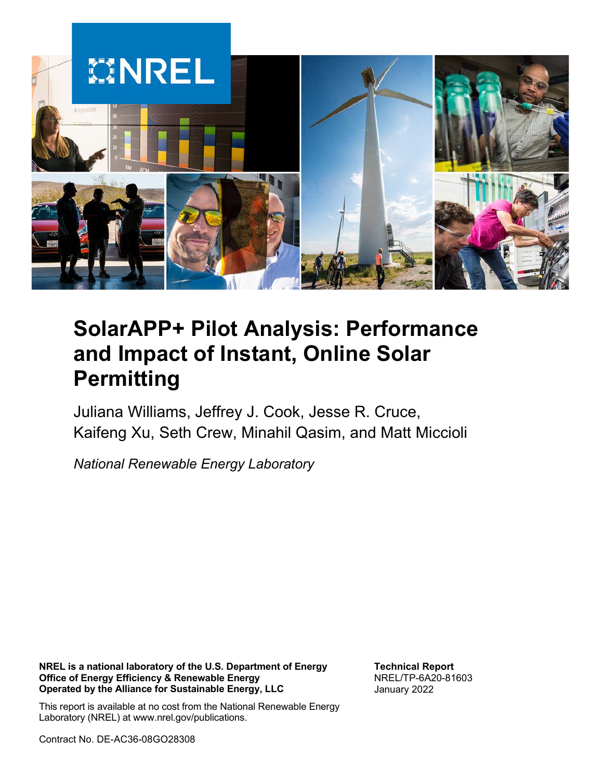

# **SolarAPP+ Pilot Analysis: Performance and Impact of Instant, Online Solar Permitting**

Juliana Williams, Jeffrey J. Cook, Jesse R. Cruce, Kaifeng Xu, Seth Crew, Minahil Qasim, and Matt Miccioli

*National Renewable Energy Laboratory*

**NREL is a national laboratory of the U.S. Department of Energy Office of Energy Efficiency & Renewable Energy Operated by the Alliance for Sustainable Energy, LLC**

**Technical Report** NREL/TP-6A20-81603 January 2022

This report is available at no cost from the National Renewable Energy Laboratory (NREL) at www.nrel.gov/publications.

Contract No. DE-AC36-08GO28308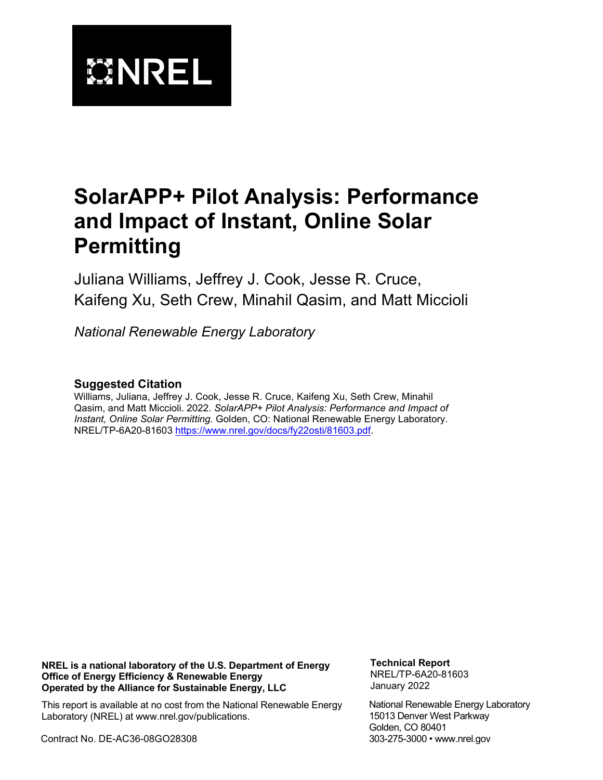

# **SolarAPP+ Pilot Analysis: Performance and Impact of Instant, Online Solar Permitting**

Juliana Williams, Jeffrey J. Cook, Jesse R. Cruce, Kaifeng Xu, Seth Crew, Minahil Qasim, and Matt Miccioli

*National Renewable Energy Laboratory*

### **Suggested Citation**

Williams, Juliana, Jeffrey J. Cook, Jesse R. Cruce, Kaifeng Xu, Seth Crew, Minahil Qasim, and Matt Miccioli. 2022. *SolarAPP+ Pilot Analysis: Performance and Impact of Instant, Online Solar Permitting.* Golden, CO: National Renewable Energy Laboratory. NREL/TP-6A20-81603 [https://www.nrel.gov/docs/fy22osti/81603.pdf.](https://www.nrel.gov/docs/fy22osti/81603.pdf)

**NREL is a national laboratory of the U.S. Department of Energy Office of Energy Efficiency & Renewable Energy Operated by the Alliance for Sustainable Energy, LLC**

**Technical Report** NREL/TP-6A20-81603 January 2022

This report is available at no cost from the National Renewable Energy Laboratory (NREL) at www.nrel.gov/publications.

Contract No. DE-AC36-08GO28308

National Renewable Energy Laboratory 15013 Denver West Parkway Golden, CO 80401 303-275-3000 • www.nrel.gov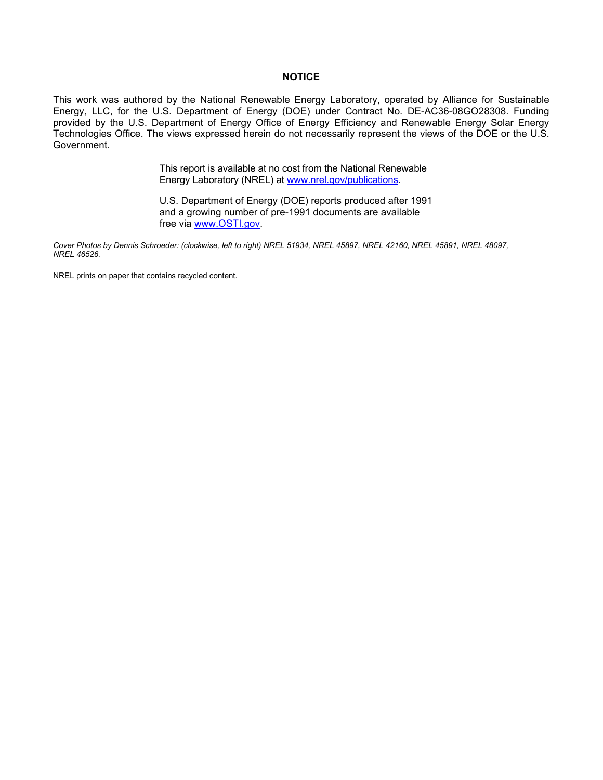#### **NOTICE**

This work was authored by the National Renewable Energy Laboratory, operated by Alliance for Sustainable Energy, LLC, for the U.S. Department of Energy (DOE) under Contract No. DE-AC36-08GO28308. Funding provided by the U.S. Department of Energy Office of Energy Efficiency and Renewable Energy Solar Energy Technologies Office. The views expressed herein do not necessarily represent the views of the DOE or the U.S. Government.

> This report is available at no cost from the National Renewable Energy Laboratory (NREL) at [www.nrel.gov/publications.](http://www.nrel.gov/publications)

U.S. Department of Energy (DOE) reports produced after 1991 and a growing number of pre-1991 documents are available free via [www.OSTI.gov.](http://www.osti.gov/) 

*Cover Photos by Dennis Schroeder: (clockwise, left to right) NREL 51934, NREL 45897, NREL 42160, NREL 45891, NREL 48097, NREL 46526.*

NREL prints on paper that contains recycled content.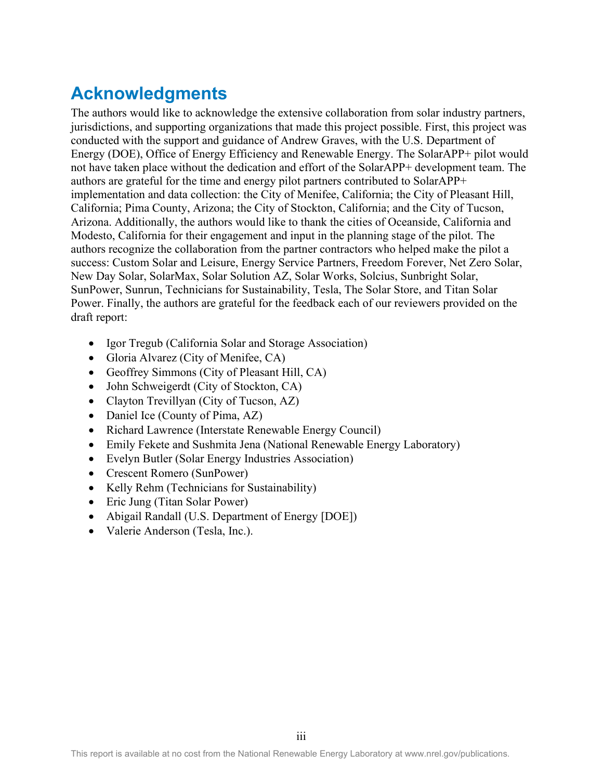## **Acknowledgments**

The authors would like to acknowledge the extensive collaboration from solar industry partners, jurisdictions, and supporting organizations that made this project possible. First, this project was conducted with the support and guidance of Andrew Graves, with the U.S. Department of Energy (DOE), Office of Energy Efficiency and Renewable Energy. The SolarAPP+ pilot would not have taken place without the dedication and effort of the SolarAPP+ development team. The authors are grateful for the time and energy pilot partners contributed to SolarAPP+ implementation and data collection: the City of Menifee, California; the City of Pleasant Hill, California; Pima County, Arizona; the City of Stockton, California; and the City of Tucson, Arizona. Additionally, the authors would like to thank the cities of Oceanside, California and Modesto, California for their engagement and input in the planning stage of the pilot. The authors recognize the collaboration from the partner contractors who helped make the pilot a success: Custom Solar and Leisure, Energy Service Partners, Freedom Forever, Net Zero Solar, New Day Solar, SolarMax, Solar Solution AZ, Solar Works, Solcius, Sunbright Solar, SunPower, Sunrun, Technicians for Sustainability, Tesla, The Solar Store, and Titan Solar Power. Finally, the authors are grateful for the feedback each of our reviewers provided on the draft report:

- Igor Tregub (California Solar and Storage Association)
- Gloria Alvarez (City of Menifee, CA)
- Geoffrey Simmons (City of Pleasant Hill, CA)
- John Schweigerdt (City of Stockton, CA)
- Clayton Trevillyan (City of Tucson, AZ)
- Daniel Ice (County of Pima, AZ)
- Richard Lawrence (Interstate Renewable Energy Council)
- Emily Fekete and Sushmita Jena (National Renewable Energy Laboratory)
- Evelyn Butler (Solar Energy Industries Association)
- Crescent Romero (SunPower)
- Kelly Rehm (Technicians for Sustainability)
- Eric Jung (Titan Solar Power)
- Abigail Randall (U.S. Department of Energy [DOE])
- Valerie Anderson (Tesla, Inc.).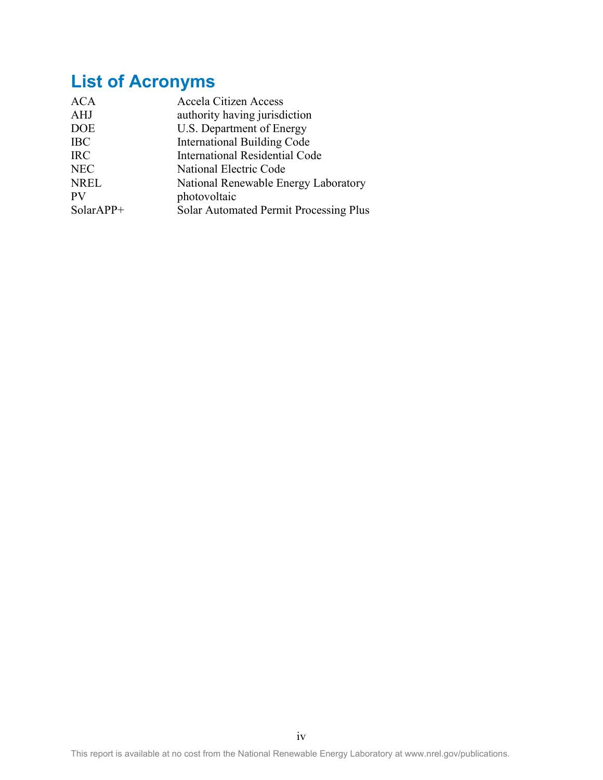# **List of Acronyms**

| <b>ACA</b>  | <b>Accela Citizen Access</b>           |
|-------------|----------------------------------------|
| AHJ         | authority having jurisdiction          |
| <b>DOE</b>  | U.S. Department of Energy              |
| <b>IBC</b>  | <b>International Building Code</b>     |
| <b>IRC</b>  | <b>International Residential Code</b>  |
| <b>NEC</b>  | National Electric Code                 |
| <b>NREL</b> | National Renewable Energy Laboratory   |
| <b>PV</b>   | photovoltaic                           |
| $SolarAPP+$ | Solar Automated Permit Processing Plus |
|             |                                        |

This report is available at no cost from the National Renewable Energy Laboratory at www.nrel.gov/publications.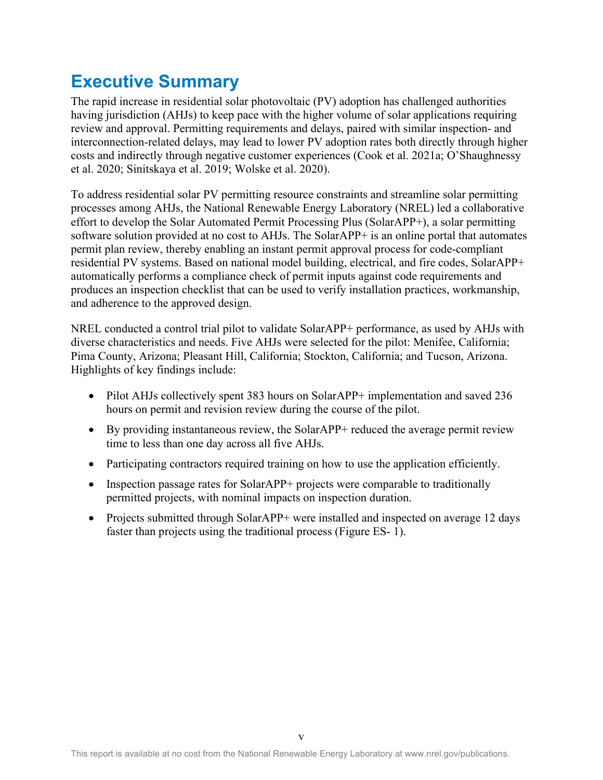## **Executive Summary**

The rapid increase in residential solar photovoltaic (PV) adoption has challenged authorities having jurisdiction (AHJs) to keep pace with the higher volume of solar applications requiring review and approval. Permitting requirements and delays, paired with similar inspection- and interconnection-related delays, may lead to lower PV adoption rates both directly through higher costs and indirectly through negative customer experiences (Cook et al. 2021a; O'Shaughnessy et al. 2020; Sinitskaya et al. 2019; Wolske et al. 2020).

To address residential solar PV permitting resource constraints and streamline solar permitting processes among AHJs, the National Renewable Energy Laboratory (NREL) led a collaborative effort to develop the Solar Automated Permit Processing Plus (SolarAPP+), a solar permitting software solution provided at no cost to AHJs. The SolarAPP+ is an online portal that automates permit plan review, thereby enabling an instant permit approval process for code-compliant residential PV systems. Based on national model building, electrical, and fire codes, SolarAPP+ automatically performs a compliance check of permit inputs against code requirements and produces an inspection checklist that can be used to verify installation practices, workmanship, and adherence to the approved design.

NREL conducted a control trial pilot to validate SolarAPP+ performance, as used by AHJs with diverse characteristics and needs. Five AHJs were selected for the pilot: Menifee, California; Pima County, Arizona; Pleasant Hill, California; Stockton, California; and Tucson, Arizona. Highlights of key findings include:

- Pilot AHJs collectively spent 383 hours on SolarAPP+ implementation and saved 236 hours on permit and revision review during the course of the pilot.
- By providing instantaneous review, the SolarAPP+ reduced the average permit review time to less than one day across all five AHJs.
- Participating contractors required training on how to use the application efficiently.
- Inspection passage rates for SolarAPP+ projects were comparable to traditionally permitted projects, with nominal impacts on inspection duration.
- Projects submitted through SolarAPP+ were installed and inspected on average 12 days faster than projects using the traditional process [\(Figure ES- 1\)](#page-6-0).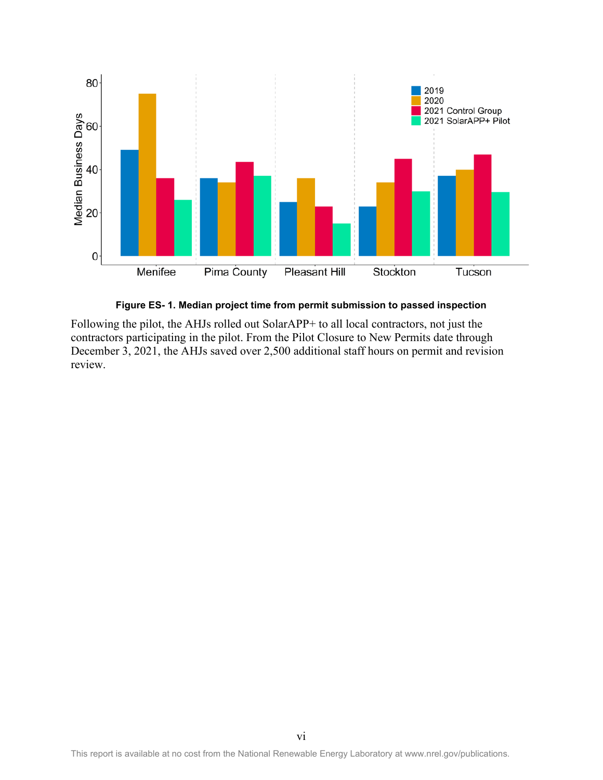

**Figure ES- 1. Median project time from permit submission to passed inspection**

<span id="page-6-0"></span>Following the pilot, the AHJs rolled out SolarAPP+ to all local contractors, not just the contractors participating in the pilot. From the Pilot Closure to New Permits date through December 3, 2021, the AHJs saved over 2,500 additional staff hours on permit and revision review.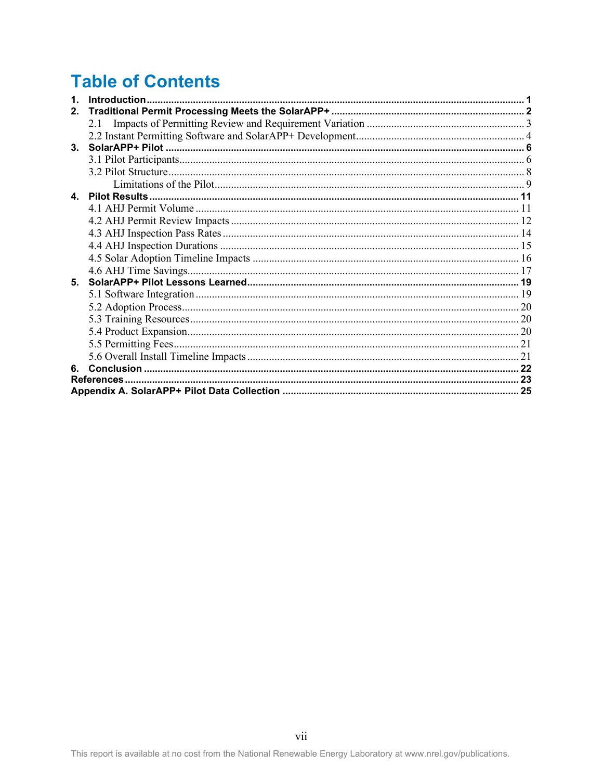# **Table of Contents**

| $\mathbf{1}$ . |  |
|----------------|--|
| $2_{-}$        |  |
|                |  |
|                |  |
| 3 <sub>1</sub> |  |
|                |  |
|                |  |
|                |  |
|                |  |
|                |  |
|                |  |
|                |  |
|                |  |
|                |  |
|                |  |
| 5.             |  |
|                |  |
|                |  |
|                |  |
|                |  |
|                |  |
|                |  |
|                |  |
|                |  |
|                |  |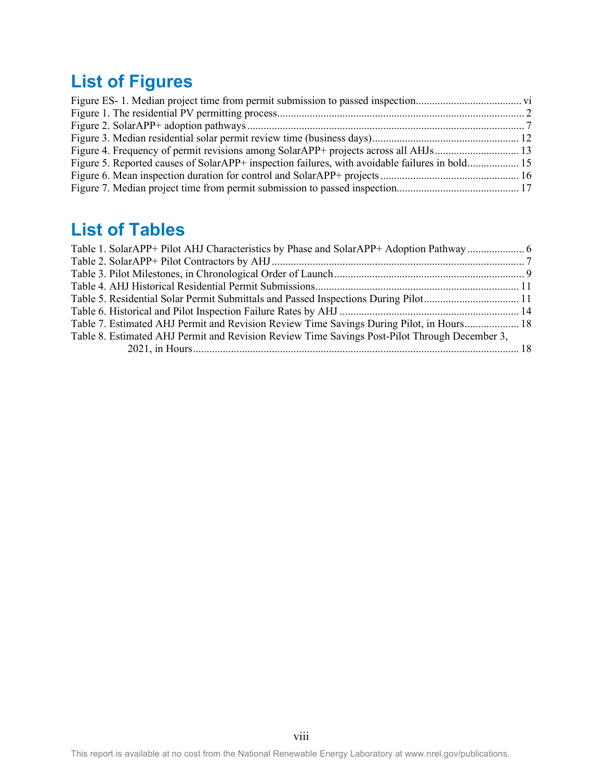# **List of Figures**

| Figure 4. Frequency of permit revisions among SolarAPP+ projects across all AHJs 13            |  |
|------------------------------------------------------------------------------------------------|--|
| Figure 5. Reported causes of SolarAPP+ inspection failures, with avoidable failures in bold 15 |  |
|                                                                                                |  |
|                                                                                                |  |

## **List of Tables**

| Table 1. SolarAPP+ Pilot AHJ Characteristics by Phase and SolarAPP+ Adoption Pathway  6       |  |
|-----------------------------------------------------------------------------------------------|--|
|                                                                                               |  |
|                                                                                               |  |
|                                                                                               |  |
| Table 5. Residential Solar Permit Submittals and Passed Inspections During Pilot11            |  |
|                                                                                               |  |
| Table 7. Estimated AHJ Permit and Revision Review Time Savings During Pilot, in Hours 18      |  |
| Table 8. Estimated AHJ Permit and Revision Review Time Savings Post-Pilot Through December 3, |  |
|                                                                                               |  |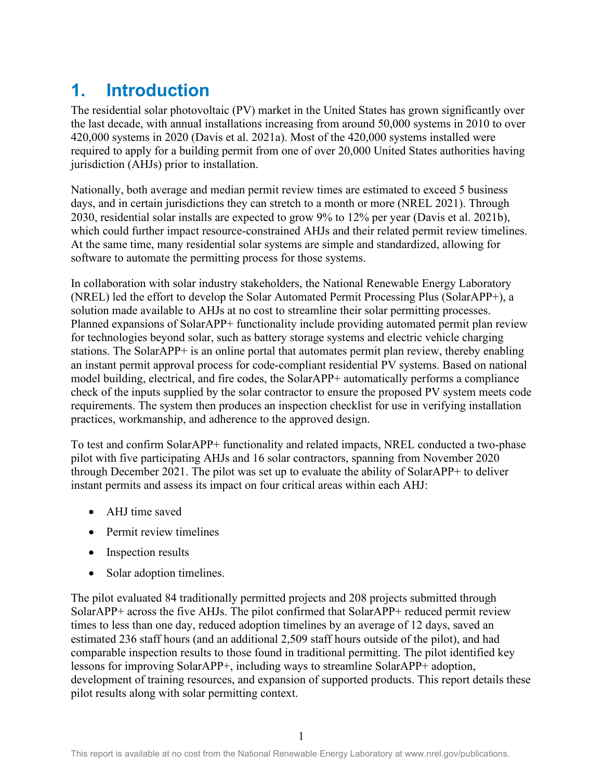## <span id="page-9-0"></span>**1. Introduction**

The residential solar photovoltaic (PV) market in the United States has grown significantly over the last decade, with annual installations increasing from around 50,000 systems in 2010 to over 420,000 systems in 2020 (Davis et al. 2021a). Most of the 420,000 systems installed were required to apply for a building permit from one of over 20,000 United States authorities having jurisdiction (AHJs) prior to installation.

Nationally, both average and median permit review times are estimated to exceed 5 business days, and in certain jurisdictions they can stretch to a month or more (NREL 2021). Through 2030, residential solar installs are expected to grow 9% to 12% per year (Davis et al. 2021b), which could further impact resource-constrained AHJs and their related permit review timelines. At the same time, many residential solar systems are simple and standardized, allowing for software to automate the permitting process for those systems.

In collaboration with solar industry stakeholders, the National Renewable Energy Laboratory (NREL) led the effort to develop the Solar Automated Permit Processing Plus (SolarAPP+), a solution made available to AHJs at no cost to streamline their solar permitting processes. Planned expansions of SolarAPP+ functionality include providing automated permit plan review for technologies beyond solar, such as battery storage systems and electric vehicle charging stations. The SolarAPP+ is an online portal that automates permit plan review, thereby enabling an instant permit approval process for code-compliant residential PV systems. Based on national model building, electrical, and fire codes, the SolarAPP+ automatically performs a compliance check of the inputs supplied by the solar contractor to ensure the proposed PV system meets code requirements. The system then produces an inspection checklist for use in verifying installation practices, workmanship, and adherence to the approved design.

To test and confirm SolarAPP+ functionality and related impacts, NREL conducted a two-phase pilot with five participating AHJs and 16 solar contractors, spanning from November 2020 through December 2021. The pilot was set up to evaluate the ability of SolarAPP+ to deliver instant permits and assess its impact on four critical areas within each AHJ:

- AHJ time saved
- Permit review timelines
- Inspection results
- Solar adoption timelines.

The pilot evaluated 84 traditionally permitted projects and 208 projects submitted through SolarAPP+ across the five AHJs. The pilot confirmed that SolarAPP+ reduced permit review times to less than one day, reduced adoption timelines by an average of 12 days, saved an estimated 236 staff hours (and an additional 2,509 staff hours outside of the pilot), and had comparable inspection results to those found in traditional permitting. The pilot identified key lessons for improving SolarAPP+, including ways to streamline SolarAPP+ adoption, development of training resources, and expansion of supported products. This report details these pilot results along with solar permitting context.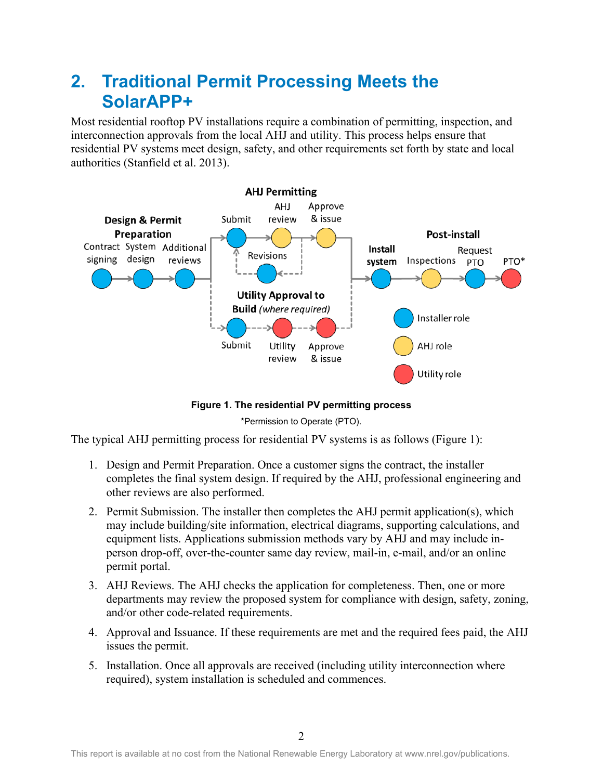## <span id="page-10-0"></span>**2. Traditional Permit Processing Meets the SolarAPP+**

Most residential rooftop PV installations require a combination of permitting, inspection, and interconnection approvals from the local AHJ and utility. This process helps ensure that residential PV systems meet design, safety, and other requirements set forth by state and local authorities (Stanfield et al. 2013).



**Figure 1. The residential PV permitting process** 

\*Permission to Operate (PTO).

<span id="page-10-1"></span>The typical AHJ permitting process for residential PV systems is as follows [\(Figure 1\)](#page-10-1):

- 1. Design and Permit Preparation. Once a customer signs the contract, the installer completes the final system design. If required by the AHJ, professional engineering and other reviews are also performed.
- 2. Permit Submission. The installer then completes the AHJ permit application(s), which may include building/site information, electrical diagrams, supporting calculations, and equipment lists. Applications submission methods vary by AHJ and may include inperson drop-off, over-the-counter same day review, mail-in, e-mail, and/or an online permit portal.
- 3. AHJ Reviews. The AHJ checks the application for completeness. Then, one or more departments may review the proposed system for compliance with design, safety, zoning, and/or other code-related requirements.
- 4. Approval and Issuance. If these requirements are met and the required fees paid, the AHJ issues the permit.
- 5. Installation. Once all approvals are received (including utility interconnection where required), system installation is scheduled and commences.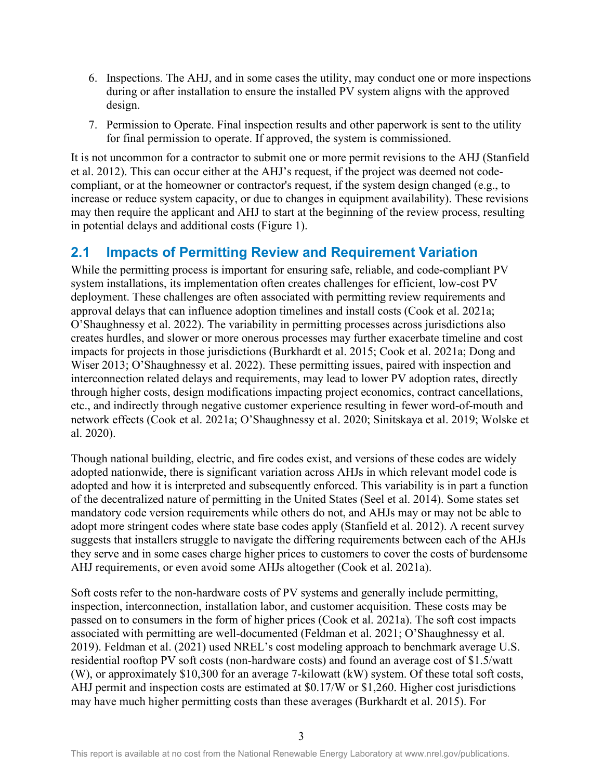- 6. Inspections. The AHJ, and in some cases the utility, may conduct one or more inspections during or after installation to ensure the installed PV system aligns with the approved design.
- 7. Permission to Operate. Final inspection results and other paperwork is sent to the utility for final permission to operate. If approved, the system is commissioned.

It is not uncommon for a contractor to submit one or more permit revisions to the AHJ (Stanfield et al. 2012). This can occur either at the AHJ's request, if the project was deemed not codecompliant, or at the homeowner or contractor's request, if the system design changed (e.g., to increase or reduce system capacity, or due to changes in equipment availability). These revisions may then require the applicant and AHJ to start at the beginning of the review process, resulting in potential delays and additional costs [\(Figure 1\)](#page-10-1).

### <span id="page-11-0"></span>**2.1 Impacts of Permitting Review and Requirement Variation**

While the permitting process is important for ensuring safe, reliable, and code-compliant PV system installations, its implementation often creates challenges for efficient, low-cost PV deployment. These challenges are often associated with permitting review requirements and approval delays that can influence adoption timelines and install costs (Cook et al. 2021a; O'Shaughnessy et al. 2022). The variability in permitting processes across jurisdictions also creates hurdles, and slower or more onerous processes may further exacerbate timeline and cost impacts for projects in those jurisdictions (Burkhardt et al. 2015; Cook et al. 2021a; Dong and Wiser 2013; O'Shaughnessy et al. 2022). These permitting issues, paired with inspection and interconnection related delays and requirements, may lead to lower PV adoption rates, directly through higher costs, design modifications impacting project economics, contract cancellations, etc., and indirectly through negative customer experience resulting in fewer word-of-mouth and network effects (Cook et al. 2021a; O'Shaughnessy et al. 2020; Sinitskaya et al. 2019; Wolske et al. 2020).

Though national building, electric, and fire codes exist, and versions of these codes are widely adopted nationwide, there is significant variation across AHJs in which relevant model code is adopted and how it is interpreted and subsequently enforced. This variability is in part a function of the decentralized nature of permitting in the United States (Seel et al. 2014). Some states set mandatory code version requirements while others do not, and AHJs may or may not be able to adopt more stringent codes where state base codes apply (Stanfield et al. 2012). A recent survey suggests that installers struggle to navigate the differing requirements between each of the AHJs they serve and in some cases charge higher prices to customers to cover the costs of burdensome AHJ requirements, or even avoid some AHJs altogether (Cook et al. 2021a).

Soft costs refer to the non-hardware costs of PV systems and generally include permitting, inspection, interconnection, installation labor, and customer acquisition. These costs may be passed on to consumers in the form of higher prices (Cook et al. 2021a). The soft cost impacts associated with permitting are well-documented (Feldman et al. 2021; O'Shaughnessy et al. 2019). Feldman et al. (2021) used NREL's cost modeling approach to benchmark average U.S. residential rooftop PV soft costs (non-hardware costs) and found an average cost of \$1.5/watt (W), or approximately \$10,300 for an average 7-kilowatt (kW) system. Of these total soft costs, AHJ permit and inspection costs are estimated at \$0.17/W or \$1,260. Higher cost jurisdictions may have much higher permitting costs than these averages (Burkhardt et al. 2015). For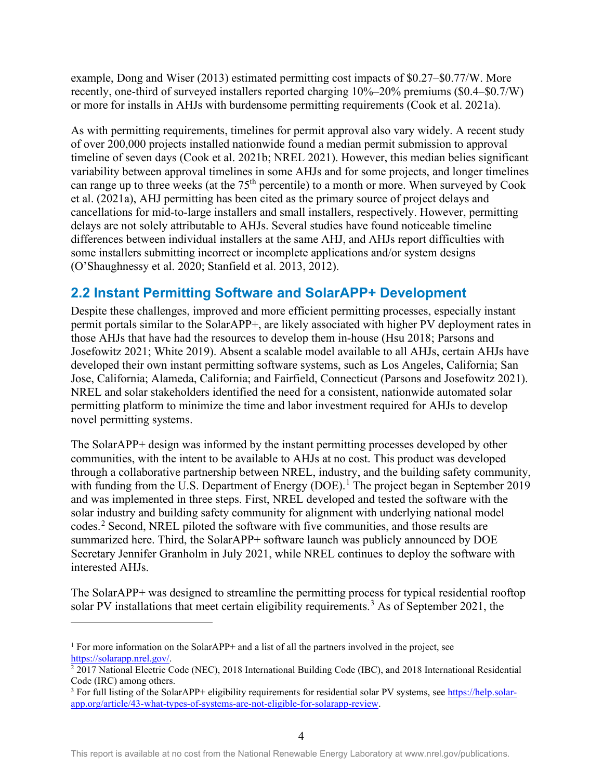example, Dong and Wiser (2013) estimated permitting cost impacts of \$0.27–\$0.77/W. More recently, one-third of surveyed installers reported charging 10%–20% premiums (\$0.4–\$0.7/W) or more for installs in AHJs with burdensome permitting requirements (Cook et al. 2021a).

As with permitting requirements, timelines for permit approval also vary widely. A recent study of over 200,000 projects installed nationwide found a median permit submission to approval timeline of seven days (Cook et al. 2021b; NREL 2021). However, this median belies significant variability between approval timelines in some AHJs and for some projects, and longer timelines can range up to three weeks (at the  $75<sup>th</sup>$  percentile) to a month or more. When surveyed by Cook et al. (2021a), AHJ permitting has been cited as the primary source of project delays and cancellations for mid-to-large installers and small installers, respectively. However, permitting delays are not solely attributable to AHJs. Several studies have found noticeable timeline differences between individual installers at the same AHJ, and AHJs report difficulties with some installers submitting incorrect or incomplete applications and/or system designs (O'Shaughnessy et al. 2020; Stanfield et al. 2013, 2012).

### <span id="page-12-0"></span>**2.2 Instant Permitting Software and SolarAPP+ Development**

Despite these challenges, improved and more efficient permitting processes, especially instant permit portals similar to the SolarAPP+, are likely associated with higher PV deployment rates in those AHJs that have had the resources to develop them in-house (Hsu 2018; Parsons and Josefowitz 2021; White 2019). Absent a scalable model available to all AHJs, certain AHJs have developed their own instant permitting software systems, such as Los Angeles, California; San Jose, California; Alameda, California; and Fairfield, Connecticut (Parsons and Josefowitz 2021). NREL and solar stakeholders identified the need for a consistent, nationwide automated solar permitting platform to minimize the time and labor investment required for AHJs to develop novel permitting systems.

The SolarAPP+ design was informed by the instant permitting processes developed by other communities, with the intent to be available to AHJs at no cost. This product was developed through a collaborative partnership between NREL, industry, and the building safety community, with funding from the U.S. Department of Energy (DOE).<sup>[1](#page-12-1)</sup> The project began in September 2019 and was implemented in three steps. First, NREL developed and tested the software with the solar industry and building safety community for alignment with underlying national model codes. [2](#page-12-2) Second, NREL piloted the software with five communities, and those results are summarized here. Third, the SolarAPP+ software launch was publicly announced by DOE Secretary Jennifer Granholm in July 2021, while NREL continues to deploy the software with interested AHJs.

The SolarAPP+ was designed to streamline the permitting process for typical residential rooftop solar PV installations that meet certain eligibility requirements.<sup>[3](#page-12-3)</sup> As of September 2021, the

<span id="page-12-1"></span><sup>&</sup>lt;sup>1</sup> For more information on the SolarAPP+ and a list of all the partners involved in the project, see [https://solarapp.nrel.gov/.](https://solarapp.nrel.gov/)<br><sup>2</sup> 2017 National Electric Code (NEC), 2018 International Building Code (IBC), and 2018 International Residential

<span id="page-12-2"></span>Code (IRC) among others.<br><sup>3</sup> For full listing of the SolarAPP+ eligibility requirements for residential solar PV systems, se[e https://help.solar-](https://help.solar-app.org/article/43-what-types-of-systems-are-not-eligible-for-solarapp-review)

<span id="page-12-3"></span>[app.org/article/43-what-types-of-systems-are-not-eligible-for-solarapp-review.](https://help.solar-app.org/article/43-what-types-of-systems-are-not-eligible-for-solarapp-review)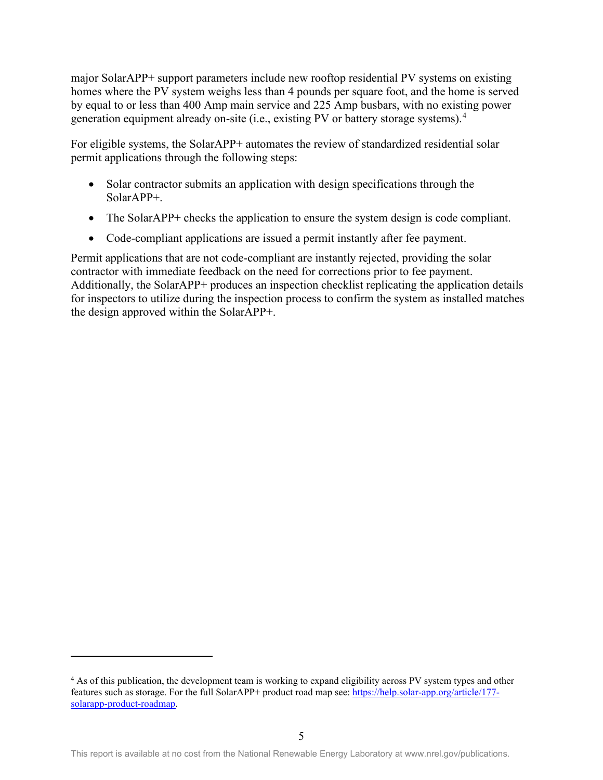major SolarAPP+ support parameters include new rooftop residential PV systems on existing homes where the PV system weighs less than 4 pounds per square foot, and the home is served by equal to or less than 400 Amp main service and 225 Amp busbars, with no existing power generation equipment already on-site (i.e., existing PV or battery storage systems). [4](#page-13-0)

For eligible systems, the SolarAPP+ automates the review of standardized residential solar permit applications through the following steps:

- Solar contractor submits an application with design specifications through the SolarAPP+.
- The SolarAPP+ checks the application to ensure the system design is code compliant.
- Code-compliant applications are issued a permit instantly after fee payment.

Permit applications that are not code-compliant are instantly rejected, providing the solar contractor with immediate feedback on the need for corrections prior to fee payment. Additionally, the SolarAPP+ produces an inspection checklist replicating the application details for inspectors to utilize during the inspection process to confirm the system as installed matches the design approved within the SolarAPP+.

<span id="page-13-0"></span><sup>&</sup>lt;sup>4</sup> As of this publication, the development team is working to expand eligibility across PV system types and other features such as storage. For the full SolarAPP+ product road map see: [https://help.solar-app.org/article/177](https://help.solar-app.org/article/177-solarapp-product-roadmap) [solarapp-product-roadmap.](https://help.solar-app.org/article/177-solarapp-product-roadmap)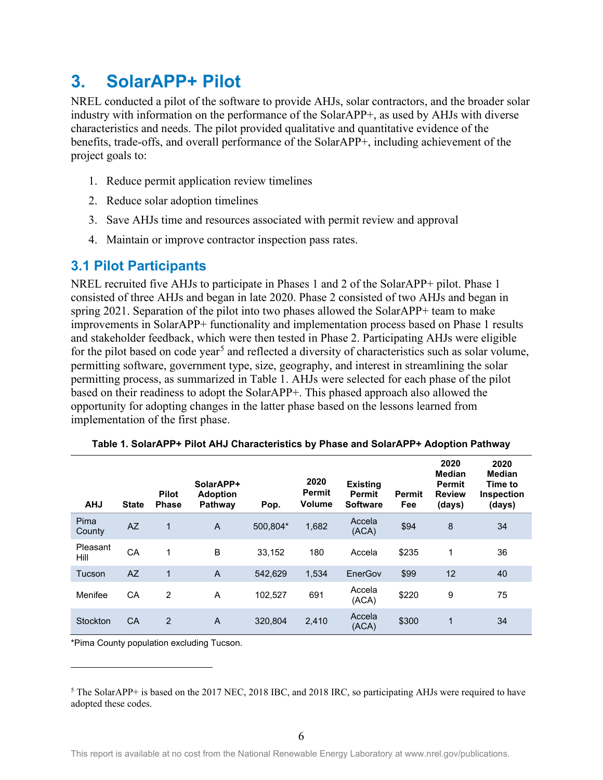## <span id="page-14-0"></span>**3. SolarAPP+ Pilot**

NREL conducted a pilot of the software to provide AHJs, solar contractors, and the broader solar industry with information on the performance of the SolarAPP+, as used by AHJs with diverse characteristics and needs. The pilot provided qualitative and quantitative evidence of the benefits, trade-offs, and overall performance of the SolarAPP+, including achievement of the project goals to:

- 1. Reduce permit application review timelines
- 2. Reduce solar adoption timelines
- 3. Save AHJs time and resources associated with permit review and approval
- 4. Maintain or improve contractor inspection pass rates.

### <span id="page-14-1"></span>**3.1 Pilot Participants**

NREL recruited five AHJs to participate in Phases 1 and 2 of the SolarAPP+ pilot. Phase 1 consisted of three AHJs and began in late 2020. Phase 2 consisted of two AHJs and began in spring 2021. Separation of the pilot into two phases allowed the SolarAPP+ team to make improvements in SolarAPP+ functionality and implementation process based on Phase 1 results and stakeholder feedback, which were then tested in Phase 2. Participating AHJs were eligible for the pilot based on code year<sup>[5](#page-14-3)</sup> and reflected a diversity of characteristics such as solar volume, permitting software, government type, size, geography, and interest in streamlining the solar permitting process, as summarized in [Table 1.](#page-14-2) AHJs were selected for each phase of the pilot based on their readiness to adopt the SolarAPP+. This phased approach also allowed the opportunity for adopting changes in the latter phase based on the lessons learned from implementation of the first phase.

<span id="page-14-2"></span>

| <b>AHJ</b>       | <b>State</b> | <b>Pilot</b><br><b>Phase</b> | SolarAPP+<br><b>Adoption</b><br>Pathway | Pop.     | 2020<br>Permit<br><b>Volume</b> | <b>Existing</b><br><b>Permit</b><br><b>Software</b> | <b>Permit</b><br>Fee | 2020<br>Median<br><b>Permit</b><br><b>Review</b><br>(days) | 2020<br>Median<br>Time to<br><b>Inspection</b><br>(days) |
|------------------|--------------|------------------------------|-----------------------------------------|----------|---------------------------------|-----------------------------------------------------|----------------------|------------------------------------------------------------|----------------------------------------------------------|
| Pima<br>County   | <b>AZ</b>    | 1                            | $\overline{A}$                          | 500.804* | 1,682                           | Accela<br>(ACA)                                     | \$94                 | 8                                                          | 34                                                       |
| Pleasant<br>Hill | CA           | 1                            | B                                       | 33,152   | 180                             | Accela                                              | \$235                | 1                                                          | 36                                                       |
| Tucson           | AZ           | $\overline{1}$               | $\overline{A}$                          | 542,629  | 1.534                           | EnerGov                                             | \$99                 | 12                                                         | 40                                                       |
| Menifee          | СA           | $\overline{2}$               | A                                       | 102,527  | 691                             | Accela<br>(ACA)                                     | \$220                | 9                                                          | 75                                                       |
| Stockton         | CA           | 2                            | A                                       | 320.804  | 2,410                           | Accela<br>(ACA)                                     | \$300                | 1                                                          | 34                                                       |

**Table 1. SolarAPP+ Pilot AHJ Characteristics by Phase and SolarAPP+ Adoption Pathway**

\*Pima County population excluding Tucson.

<span id="page-14-3"></span><sup>5</sup> The SolarAPP+ is based on the 2017 NEC, 2018 IBC, and 2018 IRC, so participating AHJs were required to have adopted these codes.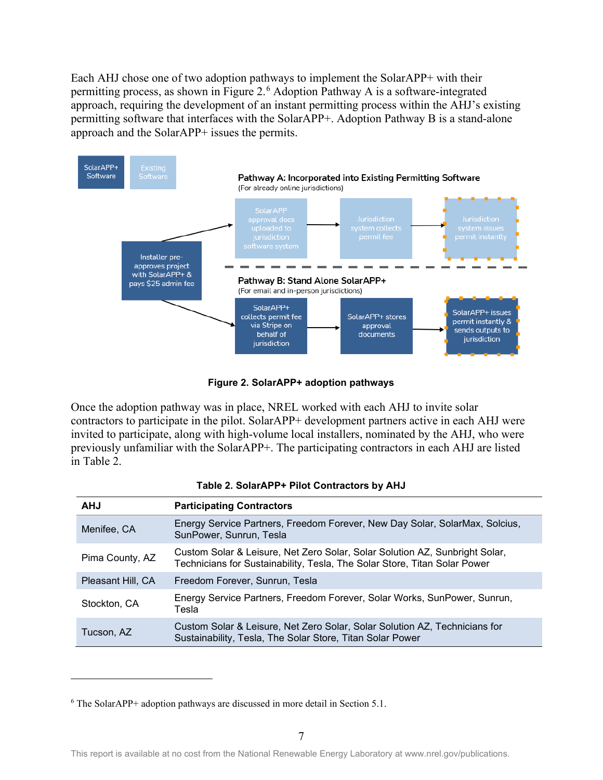Each AHJ chose one of two adoption pathways to implement the SolarAPP+ with their permitting process, as shown in [Figure 2.](#page-15-0)<sup>[6](#page-15-2)</sup> Adoption Pathway A is a software-integrated approach, requiring the development of an instant permitting process within the AHJ's existing permitting software that interfaces with the SolarAPP+. Adoption Pathway B is a stand-alone approach and the SolarAPP+ issues the permits.



**Figure 2. SolarAPP+ adoption pathways**

<span id="page-15-0"></span>Once the adoption pathway was in place, NREL worked with each AHJ to invite solar contractors to participate in the pilot. SolarAPP+ development partners active in each AHJ were invited to participate, along with high-volume local installers, nominated by the AHJ, who were previously unfamiliar with the SolarAPP+. The participating contractors in each AHJ are listed in [Table 2.](#page-15-1)

<span id="page-15-1"></span>

| <b>AHJ</b>        | <b>Participating Contractors</b>                                                                                                                         |
|-------------------|----------------------------------------------------------------------------------------------------------------------------------------------------------|
| Menifee, CA       | Energy Service Partners, Freedom Forever, New Day Solar, SolarMax, Solcius,<br>SunPower, Sunrun, Tesla                                                   |
| Pima County, AZ   | Custom Solar & Leisure, Net Zero Solar, Solar Solution AZ, Sunbright Solar,<br>Technicians for Sustainability, Tesla, The Solar Store, Titan Solar Power |
| Pleasant Hill, CA | Freedom Forever, Sunrun, Tesla                                                                                                                           |
| Stockton, CA      | Energy Service Partners, Freedom Forever, Solar Works, SunPower, Sunrun,<br>Tesla                                                                        |
| Tucson, AZ        | Custom Solar & Leisure, Net Zero Solar, Solar Solution AZ, Technicians for<br>Sustainability, Tesla, The Solar Store, Titan Solar Power                  |

<span id="page-15-2"></span><sup>6</sup> The SolarAPP+ adoption pathways are discussed in more detail in Section 5.1.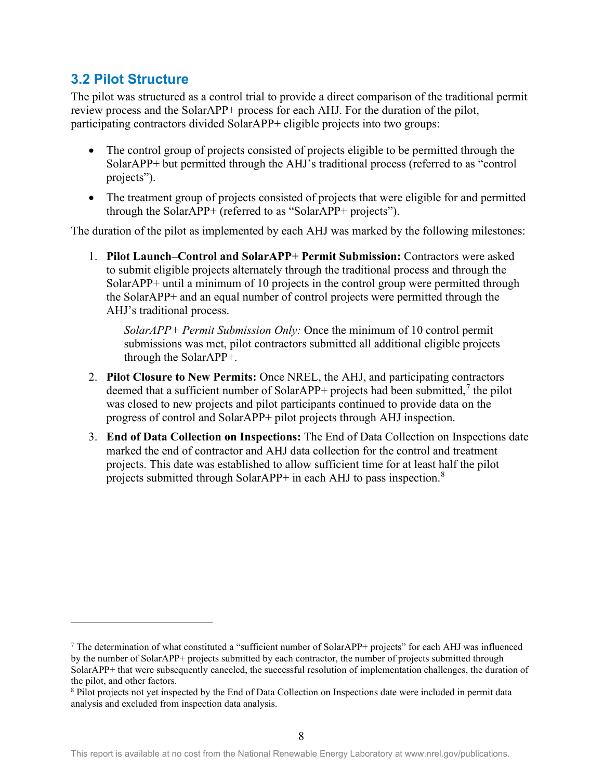### <span id="page-16-0"></span>**3.2 Pilot Structure**

The pilot was structured as a control trial to provide a direct comparison of the traditional permit review process and the SolarAPP+ process for each AHJ. For the duration of the pilot, participating contractors divided SolarAPP+ eligible projects into two groups:

- The control group of projects consisted of projects eligible to be permitted through the SolarAPP+ but permitted through the AHJ's traditional process (referred to as "control projects").
- The treatment group of projects consisted of projects that were eligible for and permitted through the SolarAPP+ (referred to as "SolarAPP+ projects").

The duration of the pilot as implemented by each AHJ was marked by the following milestones:

1. **Pilot Launch–Control and SolarAPP+ Permit Submission:** Contractors were asked to submit eligible projects alternately through the traditional process and through the SolarAPP+ until a minimum of 10 projects in the control group were permitted through the SolarAPP+ and an equal number of control projects were permitted through the AHJ's traditional process.

*SolarAPP+ Permit Submission Only:* Once the minimum of 10 control permit submissions was met, pilot contractors submitted all additional eligible projects through the SolarAPP+.

- 2. **Pilot Closure to New Permits:** Once NREL, the AHJ, and participating contractors deemed that a sufficient number of SolarAPP+ projects had been submitted,<sup>[7](#page-16-1)</sup> the pilot was closed to new projects and pilot participants continued to provide data on the progress of control and SolarAPP+ pilot projects through AHJ inspection.
- 3. **End of Data Collection on Inspections:** The End of Data Collection on Inspections date marked the end of contractor and AHJ data collection for the control and treatment projects. This date was established to allow sufficient time for at least half the pilot projects submitted through SolarAPP+ in each AHJ to pass inspection. $8$

<span id="page-16-1"></span><sup>7</sup> The determination of what constituted a "sufficient number of SolarAPP+ projects" for each AHJ was influenced by the number of SolarAPP+ projects submitted by each contractor, the number of projects submitted through SolarAPP+ that were subsequently canceled, the successful resolution of implementation challenges, the duration of the pilot, and other factors.

<span id="page-16-2"></span><sup>8</sup> Pilot projects not yet inspected by the End of Data Collection on Inspections date were included in permit data analysis and excluded from inspection data analysis.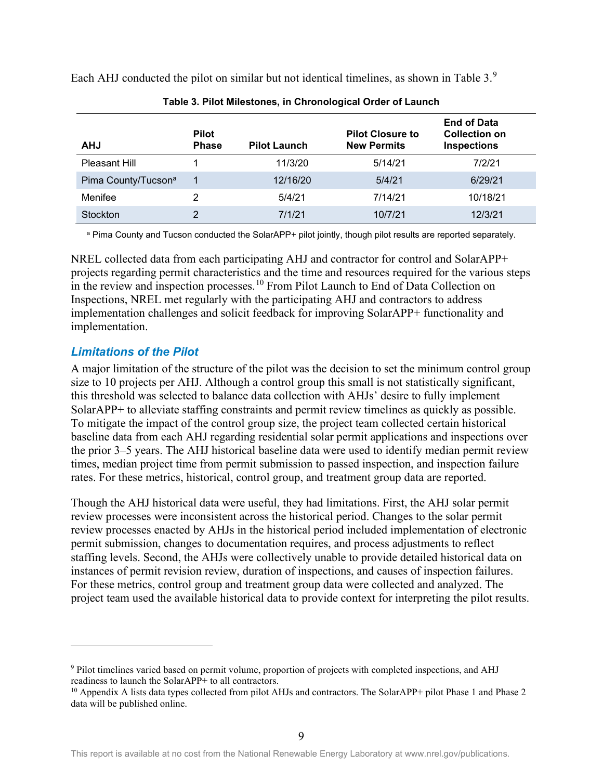<span id="page-17-1"></span>

| <b>AHJ</b>                      | <b>Pilot</b><br><b>Phase</b> | <b>Pilot Launch</b> | <b>Pilot Closure to</b><br><b>New Permits</b> | <b>End of Data</b><br><b>Collection on</b><br><b>Inspections</b> |
|---------------------------------|------------------------------|---------------------|-----------------------------------------------|------------------------------------------------------------------|
| Pleasant Hill                   |                              | 11/3/20             | 5/14/21                                       | 7/2/21                                                           |
| Pima County/Tucson <sup>a</sup> | 1                            | 12/16/20            | 5/4/21                                        | 6/29/21                                                          |
| Menifee                         | っ                            | 5/4/21              | 7/14/21                                       | 10/18/21                                                         |
| Stockton                        | っ                            | 7/1/21              | 10/7/21                                       | 12/3/21                                                          |

**Table 3. Pilot Milestones, in Chronological Order of Launch**

Each AHJ conducted the pilot on similar but not identical timelines, as shown in [Table 3.](#page-17-1) $9$ 

a Pima County and Tucson conducted the SolarAPP+ pilot jointly, though pilot results are reported separately.

NREL collected data from each participating AHJ and contractor for control and SolarAPP+ projects regarding permit characteristics and the time and resources required for the various steps in the review and inspection processes.<sup>[10](#page-17-3)</sup> From Pilot Launch to End of Data Collection on Inspections, NREL met regularly with the participating AHJ and contractors to address implementation challenges and solicit feedback for improving SolarAPP+ functionality and implementation.

### <span id="page-17-0"></span>*Limitations of the Pilot*

A major limitation of the structure of the pilot was the decision to set the minimum control group size to 10 projects per AHJ. Although a control group this small is not statistically significant, this threshold was selected to balance data collection with AHJs' desire to fully implement SolarAPP+ to alleviate staffing constraints and permit review timelines as quickly as possible. To mitigate the impact of the control group size, the project team collected certain historical baseline data from each AHJ regarding residential solar permit applications and inspections over the prior 3–5 years. The AHJ historical baseline data were used to identify median permit review times, median project time from permit submission to passed inspection, and inspection failure rates. For these metrics, historical, control group, and treatment group data are reported.

Though the AHJ historical data were useful, they had limitations. First, the AHJ solar permit review processes were inconsistent across the historical period. Changes to the solar permit review processes enacted by AHJs in the historical period included implementation of electronic permit submission, changes to documentation requires, and process adjustments to reflect staffing levels. Second, the AHJs were collectively unable to provide detailed historical data on instances of permit revision review, duration of inspections, and causes of inspection failures. For these metrics, control group and treatment group data were collected and analyzed. The project team used the available historical data to provide context for interpreting the pilot results.

<span id="page-17-2"></span><sup>9</sup> Pilot timelines varied based on permit volume, proportion of projects with completed inspections, and AHJ readiness to launch the SolarAPP+ to all contractors.

<span id="page-17-3"></span><sup>&</sup>lt;sup>10</sup> Appendix A lists data types collected from pilot AHJs and contractors. The SolarAPP+ pilot Phase 1 and Phase 2 data will be published online.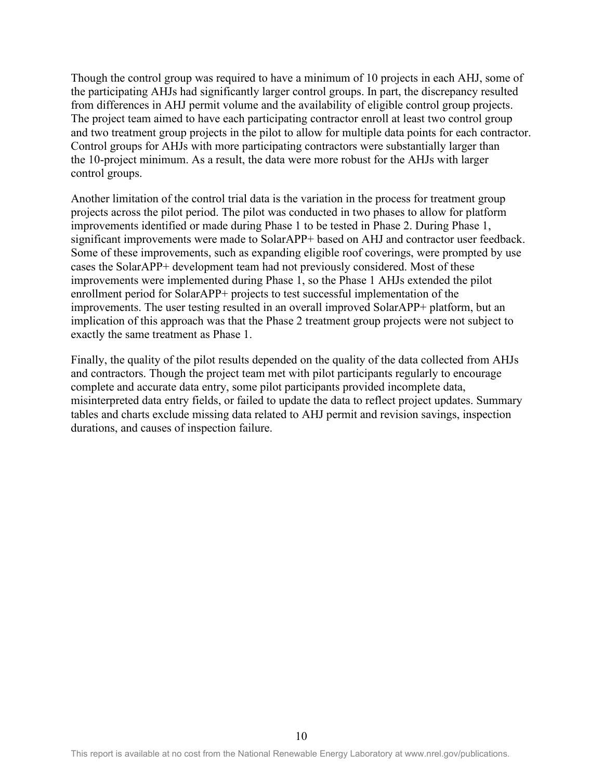Though the control group was required to have a minimum of 10 projects in each AHJ, some of the participating AHJs had significantly larger control groups. In part, the discrepancy resulted from differences in AHJ permit volume and the availability of eligible control group projects. The project team aimed to have each participating contractor enroll at least two control group and two treatment group projects in the pilot to allow for multiple data points for each contractor. Control groups for AHJs with more participating contractors were substantially larger than the 10-project minimum. As a result, the data were more robust for the AHJs with larger control groups.

Another limitation of the control trial data is the variation in the process for treatment group projects across the pilot period. The pilot was conducted in two phases to allow for platform improvements identified or made during Phase 1 to be tested in Phase 2. During Phase 1, significant improvements were made to SolarAPP+ based on AHJ and contractor user feedback. Some of these improvements, such as expanding eligible roof coverings, were prompted by use cases the SolarAPP+ development team had not previously considered. Most of these improvements were implemented during Phase 1, so the Phase 1 AHJs extended the pilot enrollment period for SolarAPP+ projects to test successful implementation of the improvements. The user testing resulted in an overall improved SolarAPP+ platform, but an implication of this approach was that the Phase 2 treatment group projects were not subject to exactly the same treatment as Phase 1.

Finally, the quality of the pilot results depended on the quality of the data collected from AHJs and contractors. Though the project team met with pilot participants regularly to encourage complete and accurate data entry, some pilot participants provided incomplete data, misinterpreted data entry fields, or failed to update the data to reflect project updates. Summary tables and charts exclude missing data related to AHJ permit and revision savings, inspection durations, and causes of inspection failure.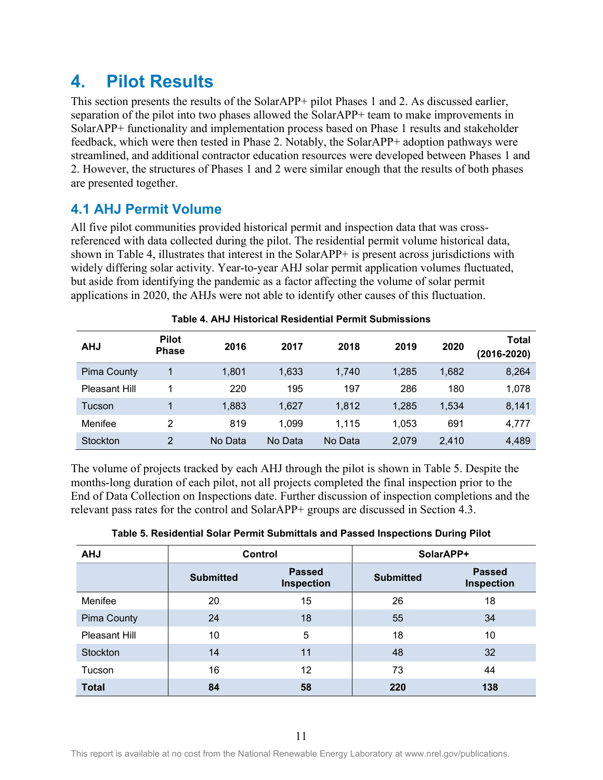## <span id="page-19-0"></span>**4. Pilot Results**

This section presents the results of the SolarAPP+ pilot Phases 1 and 2. As discussed earlier, separation of the pilot into two phases allowed the SolarAPP+ team to make improvements in SolarAPP+ functionality and implementation process based on Phase 1 results and stakeholder feedback, which were then tested in Phase 2. Notably, the SolarAPP+ adoption pathways were streamlined, and additional contractor education resources were developed between Phases 1 and 2. However, the structures of Phases 1 and 2 were similar enough that the results of both phases are presented together.

### <span id="page-19-1"></span>**4.1 AHJ Permit Volume**

All five pilot communities provided historical permit and inspection data that was crossreferenced with data collected during the pilot. The residential permit volume historical data, shown in [Table 4,](#page-19-2) illustrates that interest in the SolarAPP+ is present across jurisdictions with widely differing solar activity. Year-to-year AHJ solar permit application volumes fluctuated, but aside from identifying the pandemic as a factor affecting the volume of solar permit applications in 2020, the AHJs were not able to identify other causes of this fluctuation.

<span id="page-19-2"></span>

| <b>AHJ</b>           | <b>Pilot</b><br><b>Phase</b> | 2016    | 2017    | 2018    | 2019  | 2020  | Total<br>(2016-2020) |
|----------------------|------------------------------|---------|---------|---------|-------|-------|----------------------|
| <b>Pima County</b>   |                              | 1,801   | 1,633   | 1,740   | 1,285 | 1,682 | 8,264                |
| <b>Pleasant Hill</b> |                              | 220     | 195     | 197     | 286   | 180   | 1,078                |
| Tucson               |                              | 1,883   | 1,627   | 1,812   | 1,285 | 1,534 | 8,141                |
| Menifee              | 2                            | 819     | 1,099   | 1.115   | 1,053 | 691   | 4,777                |
| Stockton             | 2                            | No Data | No Data | No Data | 2,079 | 2,410 | 4,489                |

The volume of projects tracked by each AHJ through the pilot is shown in [Table 5.](#page-19-3) Despite the months-long duration of each pilot, not all projects completed the final inspection prior to the End of Data Collection on Inspections date. Further discussion of inspection completions and the relevant pass rates for the control and SolarAPP+ groups are discussed in Section 4.3.

<span id="page-19-3"></span>

| <b>AHJ</b>      |                  | <b>Control</b>              | SolarAPP+        |                             |  |
|-----------------|------------------|-----------------------------|------------------|-----------------------------|--|
|                 | <b>Submitted</b> | <b>Passed</b><br>Inspection | <b>Submitted</b> | <b>Passed</b><br>Inspection |  |
| Menifee         | 20               | 15                          | 26               | 18                          |  |
| Pima County     | 24               | 18                          | 55               | 34                          |  |
| Pleasant Hill   | 10               | 5                           | 18               | 10                          |  |
| <b>Stockton</b> | 14               | 11                          | 48               | 32                          |  |
| Tucson          | 16               | 12                          | 73               | 44                          |  |
| <b>Total</b>    | 84               | 58                          | 220              | 138                         |  |

|  |  |  | Table 5. Residential Solar Permit Submittals and Passed Inspections During Pilot |
|--|--|--|----------------------------------------------------------------------------------|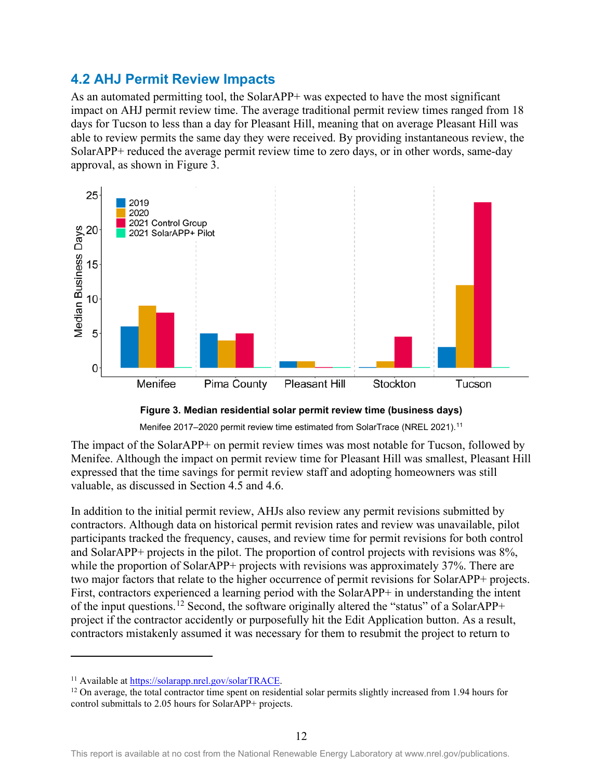### <span id="page-20-0"></span>**4.2 AHJ Permit Review Impacts**

As an automated permitting tool, the SolarAPP+ was expected to have the most significant impact on AHJ permit review time. The average traditional permit review times ranged from 18 days for Tucson to less than a day for Pleasant Hill, meaning that on average Pleasant Hill was able to review permits the same day they were received. By providing instantaneous review, the SolarAPP+ reduced the average permit review time to zero days, or in other words, same-day approval, as shown in [Figure 3.](#page-20-1)



#### **Figure 3. Median residential solar permit review time (business days)**

Menifee 2017–2020 permit review time estimated from SolarTrace (NREL 2021).<sup>[11](#page-20-2)</sup>

<span id="page-20-1"></span>The impact of the SolarAPP+ on permit review times was most notable for Tucson, followed by Menifee. Although the impact on permit review time for Pleasant Hill was smallest, Pleasant Hill expressed that the time savings for permit review staff and adopting homeowners was still valuable, as discussed in Section 4.5 and 4.6.

In addition to the initial permit review, AHJs also review any permit revisions submitted by contractors. Although data on historical permit revision rates and review was unavailable, pilot participants tracked the frequency, causes, and review time for permit revisions for both control and SolarAPP+ projects in the pilot. The proportion of control projects with revisions was 8%, while the proportion of SolarAPP+ projects with revisions was approximately 37%. There are two major factors that relate to the higher occurrence of permit revisions for SolarAPP+ projects. First, contractors experienced a learning period with the SolarAPP+ in understanding the intent of the input questions.[12](#page-20-3) Second, the software originally altered the "status" of a SolarAPP+ project if the contractor accidently or purposefully hit the Edit Application button. As a result, contractors mistakenly assumed it was necessary for them to resubmit the project to return to

<span id="page-20-3"></span><span id="page-20-2"></span><sup>&</sup>lt;sup>11</sup> Available at  $\frac{https://solarapp.net.gov/solarTRACE}{https://solarTRACE}$ .<br><sup>12</sup> On average, the total contractor time spent on residential solar permits slightly increased from 1.94 hours for control submittals to 2.05 hours for SolarAPP+ projects.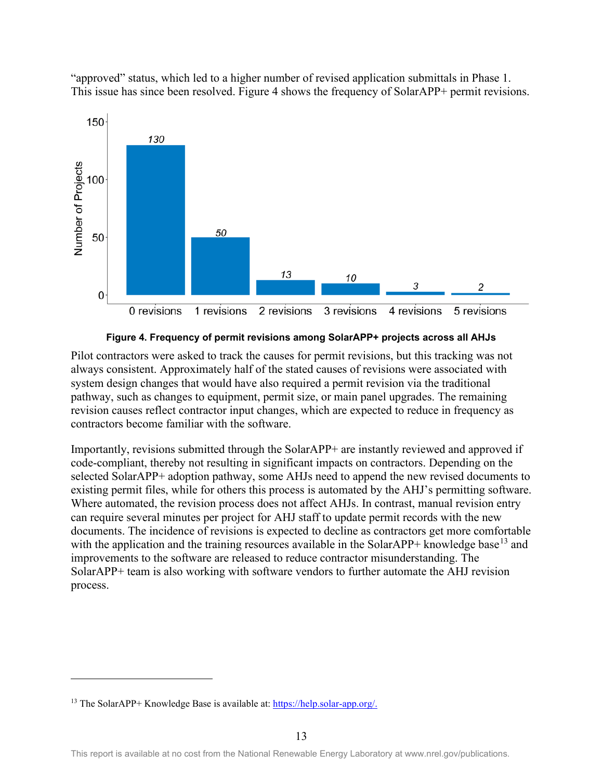

"approved" status, which led to a higher number of revised application submittals in Phase 1. This issue has since been resolved. [Figure 4](#page-21-0) shows the frequency of SolarAPP+ permit revisions.



<span id="page-21-0"></span>Pilot contractors were asked to track the causes for permit revisions, but this tracking was not always consistent. Approximately half of the stated causes of revisions were associated with system design changes that would have also required a permit revision via the traditional pathway, such as changes to equipment, permit size, or main panel upgrades. The remaining revision causes reflect contractor input changes, which are expected to reduce in frequency as contractors become familiar with the software.

Importantly, revisions submitted through the SolarAPP+ are instantly reviewed and approved if code-compliant, thereby not resulting in significant impacts on contractors. Depending on the selected SolarAPP+ adoption pathway, some AHJs need to append the new revised documents to existing permit files, while for others this process is automated by the AHJ's permitting software. Where automated, the revision process does not affect AHJs. In contrast, manual revision entry can require several minutes per project for AHJ staff to update permit records with the new documents. The incidence of revisions is expected to decline as contractors get more comfortable with the application and the training resources available in the SolarAPP+ knowledge base<sup>[13](#page-21-1)</sup> and improvements to the software are released to reduce contractor misunderstanding. The SolarAPP+ team is also working with software vendors to further automate the AHJ revision process.

<span id="page-21-1"></span><sup>&</sup>lt;sup>13</sup> The SolarAPP+ Knowledge Base is available at: [https://help.solar-app.org/.](https://help.solar-app.org/)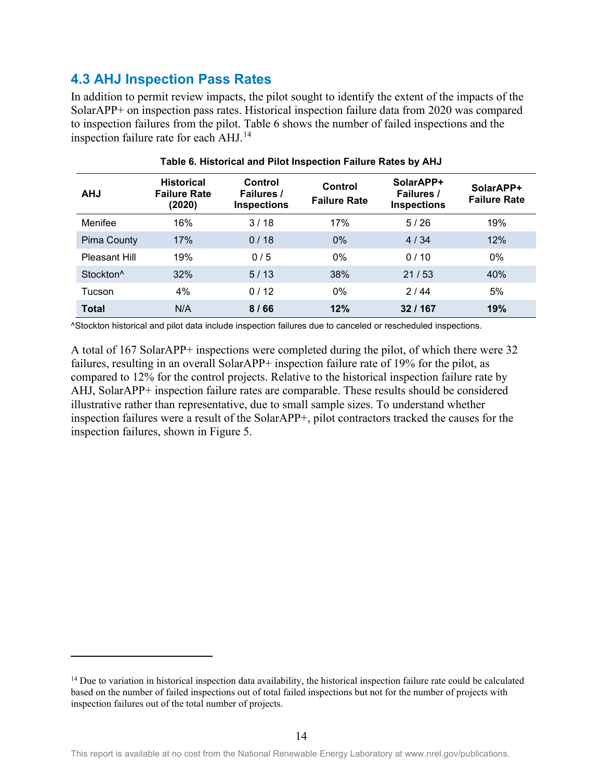### <span id="page-22-0"></span>**4.3 AHJ Inspection Pass Rates**

In addition to permit review impacts, the pilot sought to identify the extent of the impacts of the SolarAPP+ on inspection pass rates. Historical inspection failure data from 2020 was compared to inspection failures from the pilot. [Table 6](#page-22-1) shows the number of failed inspections and the inspection failure rate for each AHJ. [14](#page-22-2)

<span id="page-22-1"></span>

| <b>AHJ</b>            | <b>Historical</b><br><b>Failure Rate</b><br>(2020) | Control<br>Failures /<br><b>Inspections</b> | Control<br><b>Failure Rate</b> | SolarAPP+<br>Failures /<br><b>Inspections</b> | SolarAPP+<br><b>Failure Rate</b> |
|-----------------------|----------------------------------------------------|---------------------------------------------|--------------------------------|-----------------------------------------------|----------------------------------|
| Menifee               | 16%                                                | 3/18                                        | 17%                            | 5/26                                          | 19%                              |
| <b>Pima County</b>    | 17%                                                | 0/18                                        | $0\%$                          | 4/34                                          | 12%                              |
| Pleasant Hill         | 19%                                                | 0/5                                         | $0\%$                          | 0/10                                          | $0\%$                            |
| Stockton <sup>^</sup> | 32%                                                | 5/13                                        | 38%                            | 21/53                                         | 40%                              |
| Tucson                | 4%                                                 | 0/12                                        | $0\%$                          | 2/44                                          | 5%                               |
| <b>Total</b>          | N/A                                                | 8/66                                        | 12%                            | 32/167                                        | 19%                              |

### **Table 6. Historical and Pilot Inspection Failure Rates by AHJ**

^Stockton historical and pilot data include inspection failures due to canceled or rescheduled inspections.

A total of 167 SolarAPP+ inspections were completed during the pilot, of which there were 32 failures, resulting in an overall SolarAPP+ inspection failure rate of 19% for the pilot, as compared to 12% for the control projects. Relative to the historical inspection failure rate by AHJ, SolarAPP+ inspection failure rates are comparable. These results should be considered illustrative rather than representative, due to small sample sizes. To understand whether inspection failures were a result of the SolarAPP+, pilot contractors tracked the causes for the inspection failures, shown in [Figure 5.](#page-23-1)

<span id="page-22-2"></span> $<sup>14</sup>$  Due to variation in historical inspection data availability, the historical inspection failure rate could be calculated</sup> based on the number of failed inspections out of total failed inspections but not for the number of projects with inspection failures out of the total number of projects.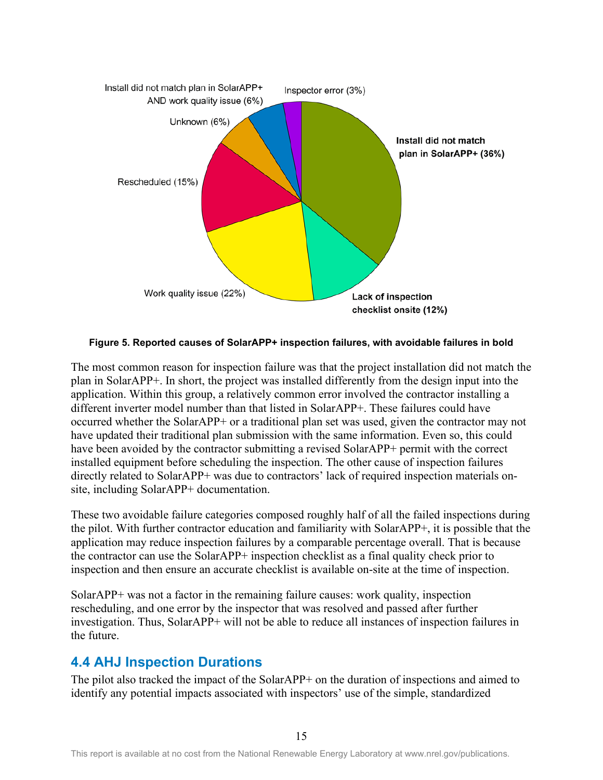

<span id="page-23-1"></span>**Figure 5. Reported causes of SolarAPP+ inspection failures, with avoidable failures in bold**

The most common reason for inspection failure was that the project installation did not match the plan in SolarAPP+. In short, the project was installed differently from the design input into the application. Within this group, a relatively common error involved the contractor installing a different inverter model number than that listed in SolarAPP+. These failures could have occurred whether the SolarAPP+ or a traditional plan set was used, given the contractor may not have updated their traditional plan submission with the same information. Even so, this could have been avoided by the contractor submitting a revised SolarAPP+ permit with the correct installed equipment before scheduling the inspection. The other cause of inspection failures directly related to SolarAPP+ was due to contractors' lack of required inspection materials onsite, including SolarAPP+ documentation.

These two avoidable failure categories composed roughly half of all the failed inspections during the pilot. With further contractor education and familiarity with SolarAPP+, it is possible that the application may reduce inspection failures by a comparable percentage overall. That is because the contractor can use the SolarAPP+ inspection checklist as a final quality check prior to inspection and then ensure an accurate checklist is available on-site at the time of inspection.

SolarAPP+ was not a factor in the remaining failure causes: work quality, inspection rescheduling, and one error by the inspector that was resolved and passed after further investigation. Thus, SolarAPP+ will not be able to reduce all instances of inspection failures in the future.

### <span id="page-23-0"></span>**4.4 AHJ Inspection Durations**

The pilot also tracked the impact of the SolarAPP+ on the duration of inspections and aimed to identify any potential impacts associated with inspectors' use of the simple, standardized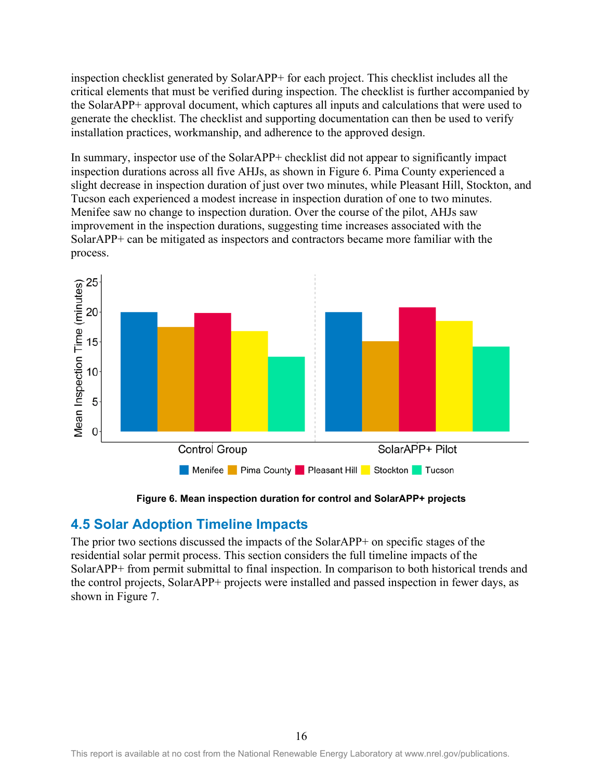inspection checklist generated by SolarAPP+ for each project. This checklist includes all the critical elements that must be verified during inspection. The checklist is further accompanied by the SolarAPP+ approval document, which captures all inputs and calculations that were used to generate the checklist. The checklist and supporting documentation can then be used to verify installation practices, workmanship, and adherence to the approved design.

In summary, inspector use of the SolarAPP+ checklist did not appear to significantly impact inspection durations across all five AHJs, as shown in [Figure 6.](#page-24-1) Pima County experienced a slight decrease in inspection duration of just over two minutes, while Pleasant Hill, Stockton, and Tucson each experienced a modest increase in inspection duration of one to two minutes. Menifee saw no change to inspection duration. Over the course of the pilot, AHJs saw improvement in the inspection durations, suggesting time increases associated with the SolarAPP+ can be mitigated as inspectors and contractors became more familiar with the process.



**Figure 6. Mean inspection duration for control and SolarAPP+ projects**

## <span id="page-24-1"></span><span id="page-24-0"></span>**4.5 Solar Adoption Timeline Impacts**

The prior two sections discussed the impacts of the SolarAPP+ on specific stages of the residential solar permit process. This section considers the full timeline impacts of the SolarAPP+ from permit submittal to final inspection. In comparison to both historical trends and the control projects, SolarAPP+ projects were installed and passed inspection in fewer days, as shown in [Figure 7.](#page-25-1)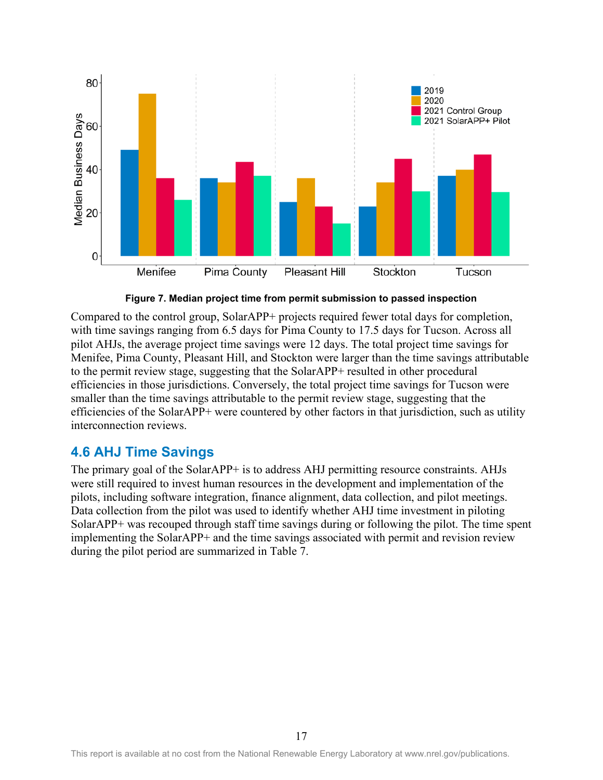![](_page_25_Figure_0.jpeg)

**Figure 7. Median project time from permit submission to passed inspection**

<span id="page-25-1"></span>Compared to the control group, SolarAPP+ projects required fewer total days for completion, with time savings ranging from 6.5 days for Pima County to 17.5 days for Tucson. Across all pilot AHJs, the average project time savings were 12 days. The total project time savings for Menifee, Pima County, Pleasant Hill, and Stockton were larger than the time savings attributable to the permit review stage, suggesting that the SolarAPP+ resulted in other procedural efficiencies in those jurisdictions. Conversely, the total project time savings for Tucson were smaller than the time savings attributable to the permit review stage, suggesting that the efficiencies of the SolarAPP+ were countered by other factors in that jurisdiction, such as utility interconnection reviews.

### <span id="page-25-0"></span>**4.6 AHJ Time Savings**

The primary goal of the SolarAPP+ is to address AHJ permitting resource constraints. AHJs were still required to invest human resources in the development and implementation of the pilots, including software integration, finance alignment, data collection, and pilot meetings. Data collection from the pilot was used to identify whether AHJ time investment in piloting SolarAPP+ was recouped through staff time savings during or following the pilot. The time spent implementing the SolarAPP+ and the time savings associated with permit and revision review during the pilot period are summarized in [Table 7.](#page-26-0)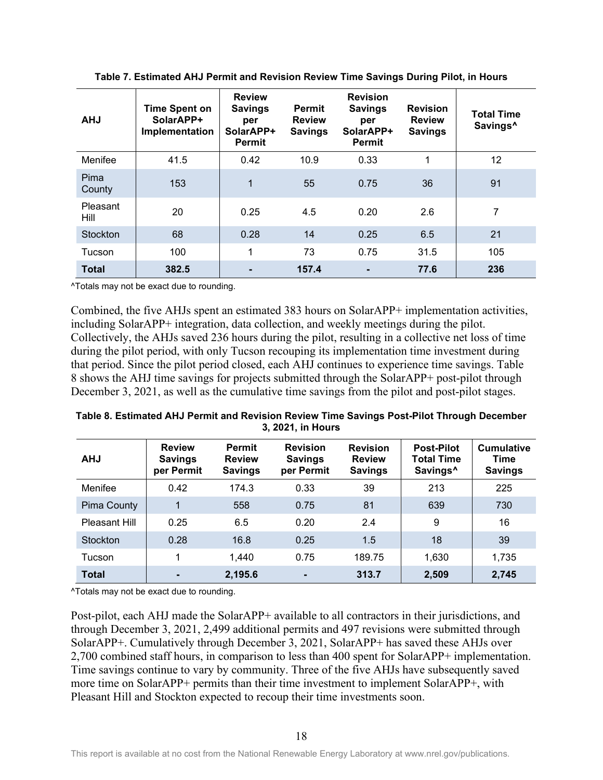<span id="page-26-0"></span>

| <b>AHJ</b>              | <b>Time Spent on</b><br>SolarAPP+<br>Implementation | <b>Review</b><br><b>Savings</b><br>per<br>SolarAPP+<br><b>Permit</b> | <b>Permit</b><br><b>Review</b><br><b>Savings</b> | <b>Revision</b><br><b>Savings</b><br>per<br>SolarAPP+<br><b>Permit</b> | <b>Revision</b><br><b>Review</b><br><b>Savings</b> | <b>Total Time</b><br>Savings <sup>^</sup> |
|-------------------------|-----------------------------------------------------|----------------------------------------------------------------------|--------------------------------------------------|------------------------------------------------------------------------|----------------------------------------------------|-------------------------------------------|
| Menifee                 | 41.5                                                | 0.42                                                                 | 10.9                                             | 0.33                                                                   | 1                                                  | 12                                        |
| Pima<br>County          | 153                                                 | 1                                                                    | 55                                               | 0.75                                                                   | 36                                                 | 91                                        |
| <b>Pleasant</b><br>Hill | 20                                                  | 0.25                                                                 | 4.5                                              | 0.20                                                                   | 2.6                                                | 7                                         |
| <b>Stockton</b>         | 68                                                  | 0.28                                                                 | 14                                               | 0.25                                                                   | 6.5                                                | 21                                        |
| Tucson                  | 100                                                 | 1                                                                    | 73                                               | 0.75                                                                   | 31.5                                               | 105                                       |
| <b>Total</b>            | 382.5                                               | $\blacksquare$                                                       | 157.4                                            | ۰                                                                      | 77.6                                               | 236                                       |

**Table 7. Estimated AHJ Permit and Revision Review Time Savings During Pilot, in Hours**

^Totals may not be exact due to rounding.

Combined, the five AHJs spent an estimated 383 hours on SolarAPP+ implementation activities, including SolarAPP+ integration, data collection, and weekly meetings during the pilot. Collectively, the AHJs saved 236 hours during the pilot, resulting in a collective net loss of time during the pilot period, with only Tucson recouping its implementation time investment during that period. Since the pilot period closed, each AHJ continues to experience time savings. [Table](#page-26-1)  [8](#page-26-1) shows the AHJ time savings for projects submitted through the SolarAPP+ post-pilot through December 3, 2021, as well as the cumulative time savings from the pilot and post-pilot stages.

<span id="page-26-1"></span>

| Table 8. Estimated AHJ Permit and Revision Review Time Savings Post-Pilot Through December |
|--------------------------------------------------------------------------------------------|
| 3, 2021, in Hours                                                                          |

| <b>AHJ</b>      | <b>Review</b><br><b>Savings</b><br>per Permit | <b>Permit</b><br><b>Review</b><br><b>Savings</b> | <b>Revision</b><br><b>Savings</b><br>per Permit | <b>Revision</b><br><b>Review</b><br><b>Savings</b> | <b>Post-Pilot</b><br><b>Total Time</b><br>Savings <sup>^</sup> | <b>Cumulative</b><br>Time<br><b>Savings</b> |
|-----------------|-----------------------------------------------|--------------------------------------------------|-------------------------------------------------|----------------------------------------------------|----------------------------------------------------------------|---------------------------------------------|
| Menifee         | 0.42                                          | 174.3                                            | 0.33                                            | 39                                                 | 213                                                            | 225                                         |
| Pima County     | 1                                             | 558                                              | 0.75                                            | 81                                                 | 639                                                            | 730                                         |
| Pleasant Hill   | 0.25                                          | 6.5                                              | 0.20                                            | 2.4                                                | 9                                                              | 16                                          |
| <b>Stockton</b> | 0.28                                          | 16.8                                             | 0.25                                            | 1.5                                                | 18                                                             | 39                                          |
| Tucson          | 1                                             | 1,440                                            | 0.75                                            | 189.75                                             | 1,630                                                          | 1,735                                       |
| <b>Total</b>    |                                               | 2,195.6                                          | $\blacksquare$                                  | 313.7                                              | 2,509                                                          | 2,745                                       |

^Totals may not be exact due to rounding.

Post-pilot, each AHJ made the SolarAPP+ available to all contractors in their jurisdictions, and through December 3, 2021, 2,499 additional permits and 497 revisions were submitted through SolarAPP+. Cumulatively through December 3, 2021, SolarAPP+ has saved these AHJs over 2,700 combined staff hours, in comparison to less than 400 spent for SolarAPP+ implementation. Time savings continue to vary by community. Three of the five AHJs have subsequently saved more time on SolarAPP+ permits than their time investment to implement SolarAPP+, with Pleasant Hill and Stockton expected to recoup their time investments soon.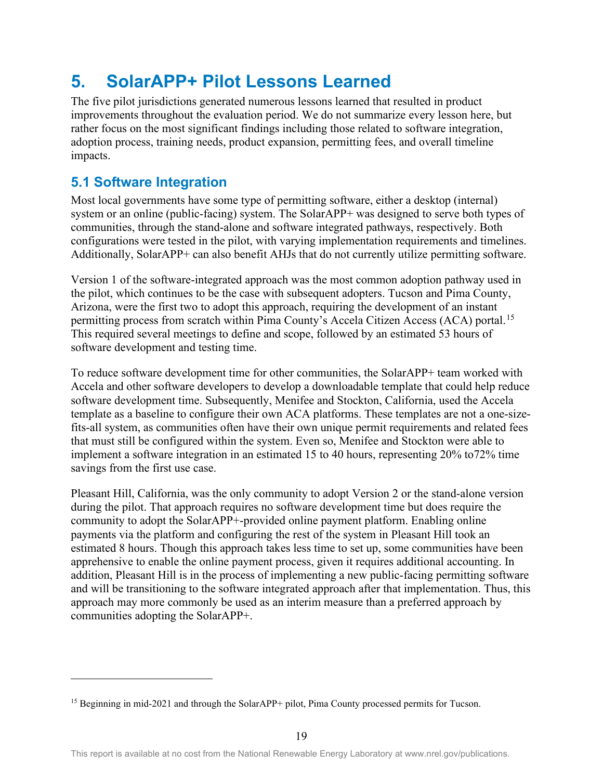## <span id="page-27-0"></span>**5. SolarAPP+ Pilot Lessons Learned**

The five pilot jurisdictions generated numerous lessons learned that resulted in product improvements throughout the evaluation period. We do not summarize every lesson here, but rather focus on the most significant findings including those related to software integration, adoption process, training needs, product expansion, permitting fees, and overall timeline impacts.

### <span id="page-27-1"></span>**5.1 Software Integration**

Most local governments have some type of permitting software, either a desktop (internal) system or an online (public-facing) system. The SolarAPP+ was designed to serve both types of communities, through the stand-alone and software integrated pathways, respectively. Both configurations were tested in the pilot, with varying implementation requirements and timelines. Additionally, SolarAPP+ can also benefit AHJs that do not currently utilize permitting software.

Version 1 of the software-integrated approach was the most common adoption pathway used in the pilot, which continues to be the case with subsequent adopters. Tucson and Pima County, Arizona, were the first two to adopt this approach, requiring the development of an instant permitting process from scratch within Pima County's Accela Citizen Access (ACA) portal.<sup>[15](#page-27-2)</sup> This required several meetings to define and scope, followed by an estimated 53 hours of software development and testing time.

To reduce software development time for other communities, the SolarAPP+ team worked with Accela and other software developers to develop a downloadable template that could help reduce software development time. Subsequently, Menifee and Stockton, California, used the Accela template as a baseline to configure their own ACA platforms. These templates are not a one-sizefits-all system, as communities often have their own unique permit requirements and related fees that must still be configured within the system. Even so, Menifee and Stockton were able to implement a software integration in an estimated 15 to 40 hours, representing 20% to72% time savings from the first use case.

Pleasant Hill, California, was the only community to adopt Version 2 or the stand-alone version during the pilot. That approach requires no software development time but does require the community to adopt the SolarAPP+-provided online payment platform. Enabling online payments via the platform and configuring the rest of the system in Pleasant Hill took an estimated 8 hours. Though this approach takes less time to set up, some communities have been apprehensive to enable the online payment process, given it requires additional accounting. In addition, Pleasant Hill is in the process of implementing a new public-facing permitting software and will be transitioning to the software integrated approach after that implementation. Thus, this approach may more commonly be used as an interim measure than a preferred approach by communities adopting the SolarAPP+.

<span id="page-27-2"></span><sup>&</sup>lt;sup>15</sup> Beginning in mid-2021 and through the SolarAPP+ pilot, Pima County processed permits for Tucson.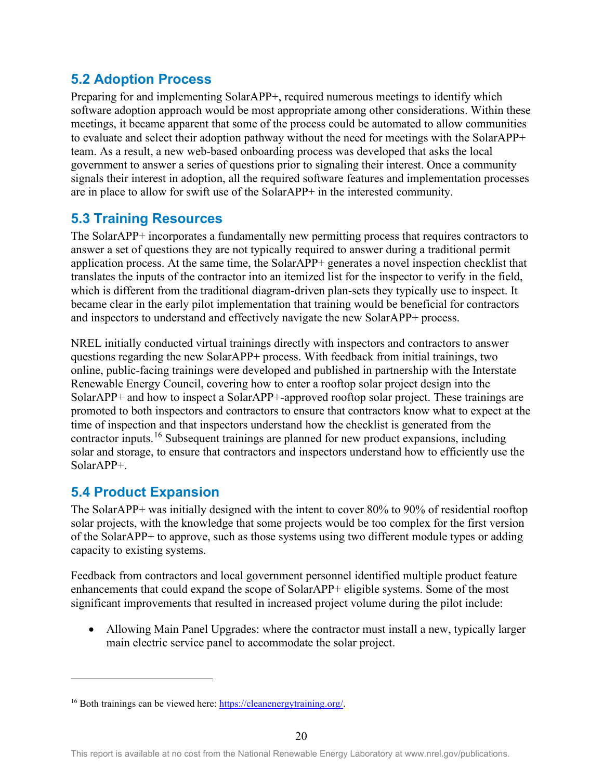### <span id="page-28-0"></span>**5.2 Adoption Process**

Preparing for and implementing SolarAPP+, required numerous meetings to identify which software adoption approach would be most appropriate among other considerations. Within these meetings, it became apparent that some of the process could be automated to allow communities to evaluate and select their adoption pathway without the need for meetings with the SolarAPP+ team. As a result, a new web-based onboarding process was developed that asks the local government to answer a series of questions prior to signaling their interest. Once a community signals their interest in adoption, all the required software features and implementation processes are in place to allow for swift use of the SolarAPP+ in the interested community.

### <span id="page-28-1"></span>**5.3 Training Resources**

The SolarAPP+ incorporates a fundamentally new permitting process that requires contractors to answer a set of questions they are not typically required to answer during a traditional permit application process. At the same time, the SolarAPP+ generates a novel inspection checklist that translates the inputs of the contractor into an itemized list for the inspector to verify in the field, which is different from the traditional diagram-driven plan-sets they typically use to inspect. It became clear in the early pilot implementation that training would be beneficial for contractors and inspectors to understand and effectively navigate the new SolarAPP+ process.

NREL initially conducted virtual trainings directly with inspectors and contractors to answer questions regarding the new SolarAPP+ process. With feedback from initial trainings, two online, public-facing trainings were developed and published in partnership with the Interstate Renewable Energy Council, covering how to enter a rooftop solar project design into the SolarAPP+ and how to inspect a SolarAPP+-approved rooftop solar project. These trainings are promoted to both inspectors and contractors to ensure that contractors know what to expect at the time of inspection and that inspectors understand how the checklist is generated from the contractor inputs.[16](#page-28-3) Subsequent trainings are planned for new product expansions, including solar and storage, to ensure that contractors and inspectors understand how to efficiently use the SolarAPP+.

## <span id="page-28-2"></span>**5.4 Product Expansion**

The SolarAPP+ was initially designed with the intent to cover 80% to 90% of residential rooftop solar projects, with the knowledge that some projects would be too complex for the first version of the SolarAPP+ to approve, such as those systems using two different module types or adding capacity to existing systems.

Feedback from contractors and local government personnel identified multiple product feature enhancements that could expand the scope of SolarAPP+ eligible systems. Some of the most significant improvements that resulted in increased project volume during the pilot include:

• Allowing Main Panel Upgrades: where the contractor must install a new, typically larger main electric service panel to accommodate the solar project.

<span id="page-28-3"></span><sup>16</sup> Both trainings can be viewed here: [https://cleanenergytraining.org/.](https://cleanenergytraining.org/)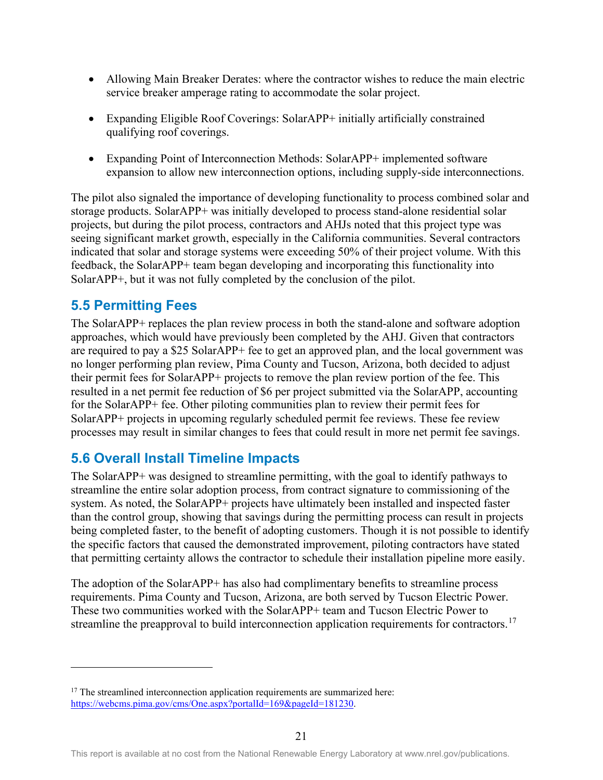- Allowing Main Breaker Derates: where the contractor wishes to reduce the main electric service breaker amperage rating to accommodate the solar project.
- Expanding Eligible Roof Coverings: SolarAPP+ initially artificially constrained qualifying roof coverings.
- Expanding Point of Interconnection Methods: SolarAPP+ implemented software expansion to allow new interconnection options, including supply-side interconnections.

The pilot also signaled the importance of developing functionality to process combined solar and storage products. SolarAPP+ was initially developed to process stand-alone residential solar projects, but during the pilot process, contractors and AHJs noted that this project type was seeing significant market growth, especially in the California communities. Several contractors indicated that solar and storage systems were exceeding 50% of their project volume. With this feedback, the SolarAPP+ team began developing and incorporating this functionality into SolarAPP+, but it was not fully completed by the conclusion of the pilot.

### <span id="page-29-0"></span>**5.5 Permitting Fees**

The SolarAPP+ replaces the plan review process in both the stand-alone and software adoption approaches, which would have previously been completed by the AHJ. Given that contractors are required to pay a \$25 SolarAPP+ fee to get an approved plan, and the local government was no longer performing plan review, Pima County and Tucson, Arizona, both decided to adjust their permit fees for SolarAPP+ projects to remove the plan review portion of the fee. This resulted in a net permit fee reduction of \$6 per project submitted via the SolarAPP, accounting for the SolarAPP+ fee. Other piloting communities plan to review their permit fees for SolarAPP+ projects in upcoming regularly scheduled permit fee reviews. These fee review processes may result in similar changes to fees that could result in more net permit fee savings.

### <span id="page-29-1"></span>**5.6 Overall Install Timeline Impacts**

The SolarAPP+ was designed to streamline permitting, with the goal to identify pathways to streamline the entire solar adoption process, from contract signature to commissioning of the system. As noted, the SolarAPP+ projects have ultimately been installed and inspected faster than the control group, showing that savings during the permitting process can result in projects being completed faster, to the benefit of adopting customers. Though it is not possible to identify the specific factors that caused the demonstrated improvement, piloting contractors have stated that permitting certainty allows the contractor to schedule their installation pipeline more easily.

The adoption of the SolarAPP+ has also had complimentary benefits to streamline process requirements. Pima County and Tucson, Arizona, are both served by Tucson Electric Power. These two communities worked with the SolarAPP+ team and Tucson Electric Power to streamline the preapproval to build interconnection application requirements for contractors.<sup>17</sup>

<span id="page-29-2"></span> $17$  The streamlined interconnection application requirements are summarized here: [https://webcms.pima.gov/cms/One.aspx?portalId=169&pageId=181230.](https://webcms.pima.gov/cms/One.aspx?portalId=169&pageId=181230)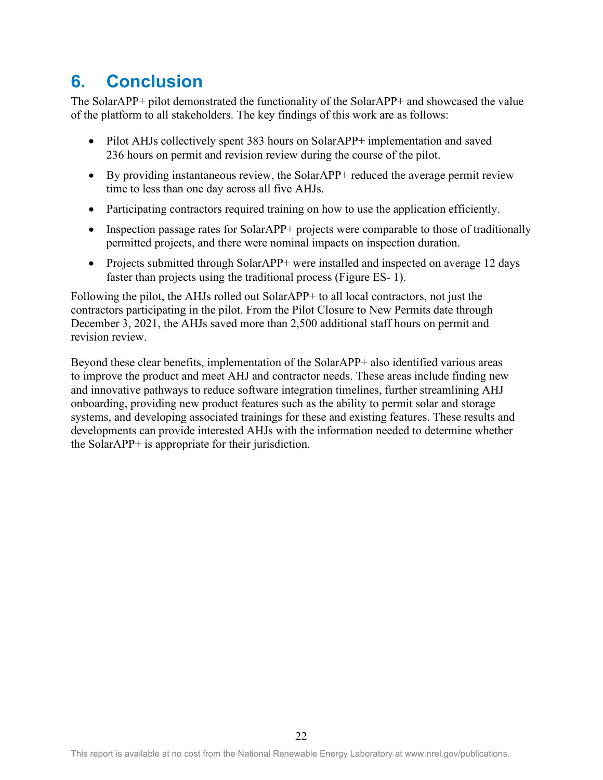## <span id="page-30-0"></span>**6. Conclusion**

The SolarAPP+ pilot demonstrated the functionality of the SolarAPP+ and showcased the value of the platform to all stakeholders. The key findings of this work are as follows:

- Pilot AHJs collectively spent 383 hours on SolarAPP+ implementation and saved 236 hours on permit and revision review during the course of the pilot.
- By providing instantaneous review, the SolarAPP+ reduced the average permit review time to less than one day across all five AHJs.
- Participating contractors required training on how to use the application efficiently.
- Inspection passage rates for SolarAPP+ projects were comparable to those of traditionally permitted projects, and there were nominal impacts on inspection duration.
- Projects submitted through SolarAPP+ were installed and inspected on average 12 days faster than projects using the traditional process [\(Figure ES- 1\)](#page-6-0).

Following the pilot, the AHJs rolled out SolarAPP+ to all local contractors, not just the contractors participating in the pilot. From the Pilot Closure to New Permits date through December 3, 2021, the AHJs saved more than 2,500 additional staff hours on permit and revision review.

Beyond these clear benefits, implementation of the SolarAPP+ also identified various areas to improve the product and meet AHJ and contractor needs. These areas include finding new and innovative pathways to reduce software integration timelines, further streamlining AHJ onboarding, providing new product features such as the ability to permit solar and storage systems, and developing associated trainings for these and existing features. These results and developments can provide interested AHJs with the information needed to determine whether the SolarAPP+ is appropriate for their jurisdiction.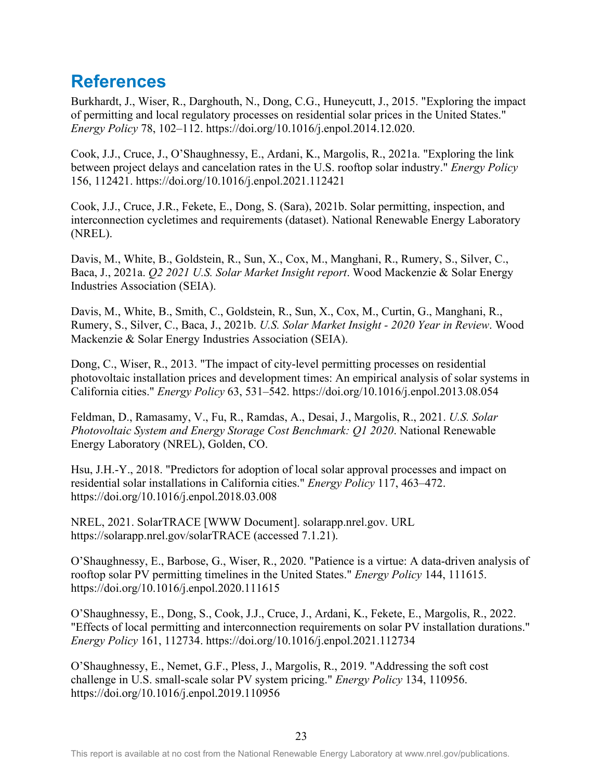## <span id="page-31-0"></span>**References**

Burkhardt, J., Wiser, R., Darghouth, N., Dong, C.G., Huneycutt, J., 2015. "Exploring the impact of permitting and local regulatory processes on residential solar prices in the United States." *Energy Policy* 78, 102–112. https://doi.org/10.1016/j.enpol.2014.12.020.

Cook, J.J., Cruce, J., O'Shaughnessy, E., Ardani, K., Margolis, R., 2021a. "Exploring the link between project delays and cancelation rates in the U.S. rooftop solar industry." *Energy Policy*  156, 112421. https://doi.org/10.1016/j.enpol.2021.112421

Cook, J.J., Cruce, J.R., Fekete, E., Dong, S. (Sara), 2021b. Solar permitting, inspection, and interconnection cycletimes and requirements (dataset). National Renewable Energy Laboratory (NREL).

Davis, M., White, B., Goldstein, R., Sun, X., Cox, M., Manghani, R., Rumery, S., Silver, C., Baca, J., 2021a. *Q2 2021 U.S. Solar Market Insight report*. Wood Mackenzie & Solar Energy Industries Association (SEIA).

Davis, M., White, B., Smith, C., Goldstein, R., Sun, X., Cox, M., Curtin, G., Manghani, R., Rumery, S., Silver, C., Baca, J., 2021b. *U.S. Solar Market Insight - 2020 Year in Review*. Wood Mackenzie & Solar Energy Industries Association (SEIA).

Dong, C., Wiser, R., 2013. "The impact of city-level permitting processes on residential photovoltaic installation prices and development times: An empirical analysis of solar systems in California cities." *Energy Policy* 63, 531–542. https://doi.org/10.1016/j.enpol.2013.08.054

Feldman, D., Ramasamy, V., Fu, R., Ramdas, A., Desai, J., Margolis, R., 2021. *U.S. Solar Photovoltaic System and Energy Storage Cost Benchmark: Q1 2020*. National Renewable Energy Laboratory (NREL), Golden, CO.

Hsu, J.H.-Y., 2018. "Predictors for adoption of local solar approval processes and impact on residential solar installations in California cities." *Energy Policy* 117, 463–472. https://doi.org/10.1016/j.enpol.2018.03.008

NREL, 2021. SolarTRACE [WWW Document]. solarapp.nrel.gov. URL https://solarapp.nrel.gov/solarTRACE (accessed 7.1.21).

O'Shaughnessy, E., Barbose, G., Wiser, R., 2020. "Patience is a virtue: A data-driven analysis of rooftop solar PV permitting timelines in the United States." *Energy Policy* 144, 111615. https://doi.org/10.1016/j.enpol.2020.111615

O'Shaughnessy, E., Dong, S., Cook, J.J., Cruce, J., Ardani, K., Fekete, E., Margolis, R., 2022. "Effects of local permitting and interconnection requirements on solar PV installation durations." *Energy Policy* 161, 112734. https://doi.org/10.1016/j.enpol.2021.112734

O'Shaughnessy, E., Nemet, G.F., Pless, J., Margolis, R., 2019. "Addressing the soft cost challenge in U.S. small-scale solar PV system pricing." *Energy Policy* 134, 110956. https://doi.org/10.1016/j.enpol.2019.110956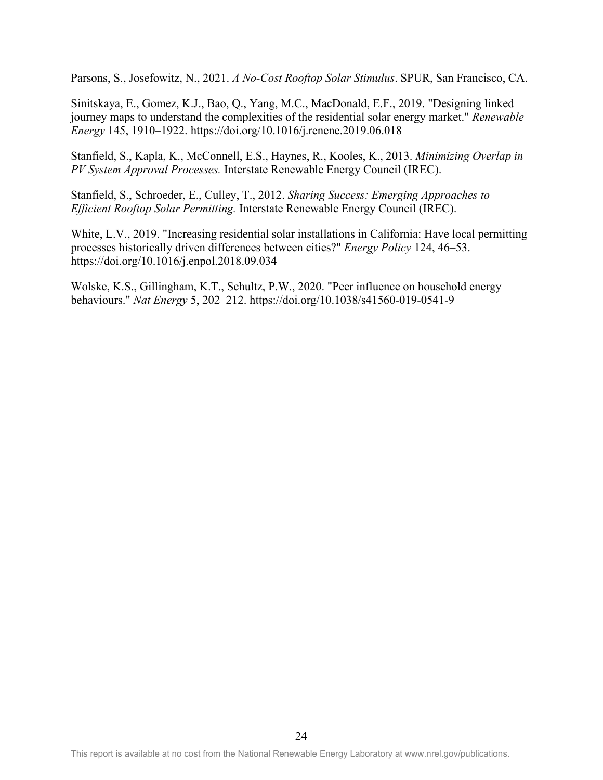Parsons, S., Josefowitz, N., 2021. *A No-Cost Rooftop Solar Stimulus*. SPUR, San Francisco, CA.

Sinitskaya, E., Gomez, K.J., Bao, Q., Yang, M.C., MacDonald, E.F., 2019. "Designing linked journey maps to understand the complexities of the residential solar energy market." *Renewable Energy* 145, 1910–1922. https://doi.org/10.1016/j.renene.2019.06.018

Stanfield, S., Kapla, K., McConnell, E.S., Haynes, R., Kooles, K., 2013. *Minimizing Overlap in PV System Approval Processes.* Interstate Renewable Energy Council (IREC).

Stanfield, S., Schroeder, E., Culley, T., 2012. *Sharing Success: Emerging Approaches to Efficient Rooftop Solar Permitting.* Interstate Renewable Energy Council (IREC).

White, L.V., 2019. "Increasing residential solar installations in California: Have local permitting processes historically driven differences between cities?" *Energy Policy* 124, 46–53. https://doi.org/10.1016/j.enpol.2018.09.034

Wolske, K.S., Gillingham, K.T., Schultz, P.W., 2020. "Peer influence on household energy behaviours." *Nat Energy* 5, 202–212. https://doi.org/10.1038/s41560-019-0541-9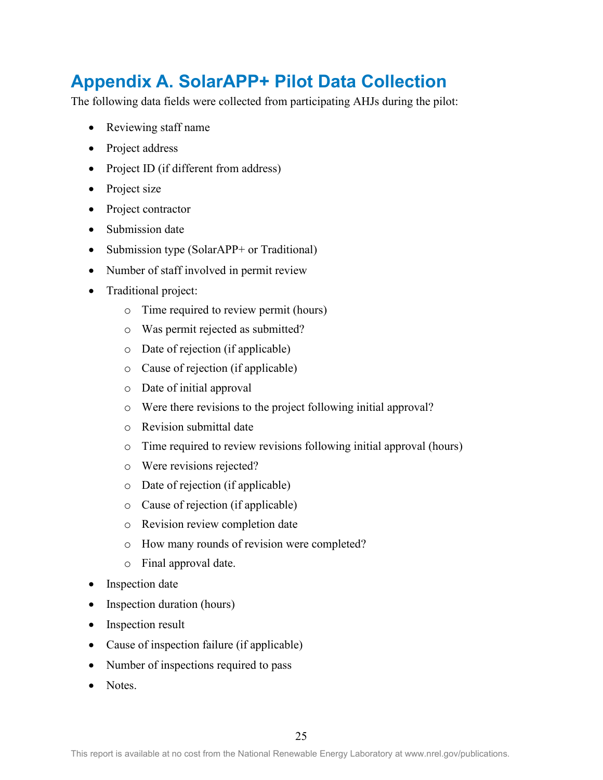## <span id="page-33-0"></span>**Appendix A. SolarAPP+ Pilot Data Collection**

The following data fields were collected from participating AHJs during the pilot:

- Reviewing staff name
- Project address
- Project ID (if different from address)
- Project size
- Project contractor
- Submission date
- Submission type (SolarAPP+ or Traditional)
- Number of staff involved in permit review
- Traditional project:
	- o Time required to review permit (hours)
	- o Was permit rejected as submitted?
	- o Date of rejection (if applicable)
	- o Cause of rejection (if applicable)
	- o Date of initial approval
	- o Were there revisions to the project following initial approval?
	- o Revision submittal date
	- o Time required to review revisions following initial approval (hours)
	- o Were revisions rejected?
	- o Date of rejection (if applicable)
	- o Cause of rejection (if applicable)
	- o Revision review completion date
	- o How many rounds of revision were completed?
	- o Final approval date.
- Inspection date
- Inspection duration (hours)
- Inspection result
- Cause of inspection failure (if applicable)
- Number of inspections required to pass
- Notes.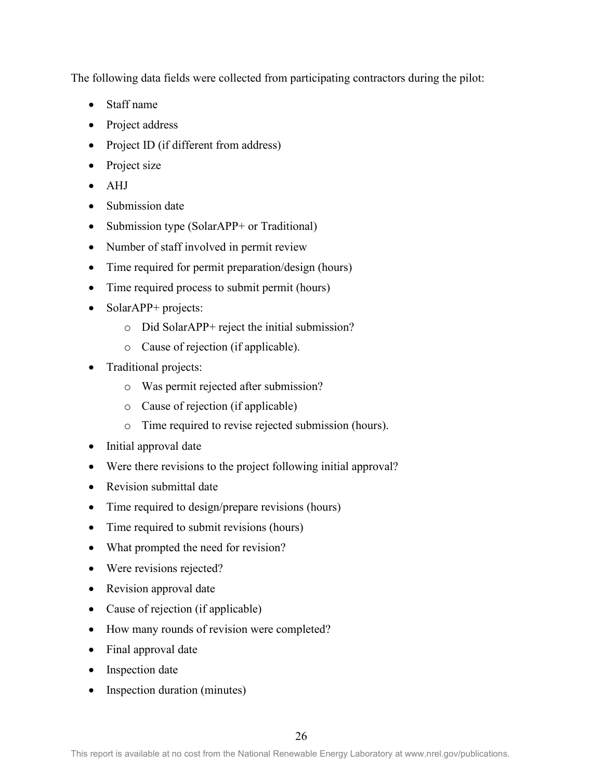The following data fields were collected from participating contractors during the pilot:

- Staff name
- Project address
- Project ID (if different from address)
- Project size
- AHJ
- Submission date
- Submission type (SolarAPP+ or Traditional)
- Number of staff involved in permit review
- Time required for permit preparation/design (hours)
- Time required process to submit permit (hours)
- SolarAPP+ projects:
	- o Did SolarAPP+ reject the initial submission?
	- o Cause of rejection (if applicable).
- Traditional projects:
	- o Was permit rejected after submission?
	- o Cause of rejection (if applicable)
	- o Time required to revise rejected submission (hours).
- Initial approval date
- Were there revisions to the project following initial approval?
- Revision submittal date
- Time required to design/prepare revisions (hours)
- Time required to submit revisions (hours)
- What prompted the need for revision?
- Were revisions rejected?
- Revision approval date
- Cause of rejection (if applicable)
- How many rounds of revision were completed?
- Final approval date
- Inspection date
- Inspection duration (minutes)